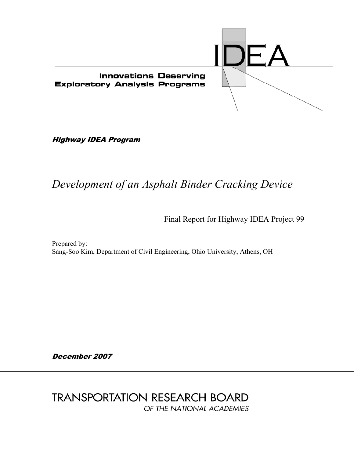

Highway IDEA Program

# *Development of an Asphalt Binder Cracking Device*

Final Report for Highway IDEA Project 99

Prepared by: Sang-Soo Kim, Department of Civil Engineering, Ohio University, Athens, OH

December 2007

**TRANSPORTATION RESEARCH BOARD** OF THE NATIONAL ACADEMIES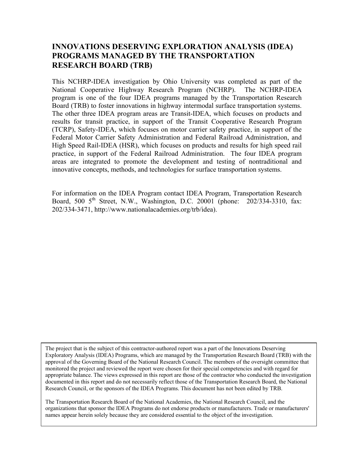# **INNOVATIONS DESERVING EXPLORATION ANALYSIS (IDEA) PROGRAMS MANAGED BY THE TRANSPORTATION RESEARCH BOARD (TRB)**

This NCHRP-IDEA investigation by Ohio University was completed as part of the National Cooperative Highway Research Program (NCHRP). The NCHRP-IDEA program is one of the four IDEA programs managed by the Transportation Research Board (TRB) to foster innovations in highway intermodal surface transportation systems. The other three IDEA program areas are Transit-IDEA, which focuses on products and results for transit practice, in support of the Transit Cooperative Research Program (TCRP), Safety-IDEA, which focuses on motor carrier safety practice, in support of the Federal Motor Carrier Safety Administration and Federal Railroad Administration, and High Speed Rail-IDEA (HSR), which focuses on products and results for high speed rail practice, in support of the Federal Railroad Administration. The four IDEA program areas are integrated to promote the development and testing of nontraditional and innovative concepts, methods, and technologies for surface transportation systems.

For information on the IDEA Program contact IDEA Program, Transportation Research Board, 500  $5<sup>th</sup>$  Street, N.W., Washington, D.C. 20001 (phone: 202/334-3310, fax: 202/334-3471, http://www.nationalacademies.org/trb/idea).

The project that is the subject of this contractor-authored report was a part of the Innovations Deserving Exploratory Analysis (IDEA) Programs, which are managed by the Transportation Research Board (TRB) with the approval of the Governing Board of the National Research Council. The members of the oversight committee that monitored the project and reviewed the report were chosen for their special competencies and with regard for appropriate balance. The views expressed in this report are those of the contractor who conducted the investigation documented in this report and do not necessarily reflect those of the Transportation Research Board, the National Research Council, or the sponsors of the IDEA Programs. This document has not been edited by TRB.

The Transportation Research Board of the National Academies, the National Research Council, and the organizations that sponsor the IDEA Programs do not endorse products or manufacturers. Trade or manufacturers' names appear herein solely because they are considered essential to the object of the investigation.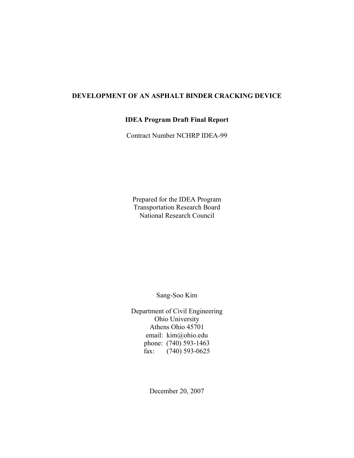# **DEVELOPMENT OF AN ASPHALT BINDER CRACKING DEVICE**

# **IDEA Program Draft Final Report**

Contract Number NCHRP IDEA-99

Prepared for the IDEA Program Transportation Research Board National Research Council

Sang-Soo Kim

Department of Civil Engineering Ohio University Athens Ohio 45701 email: kim@ohio.edu phone: (740) 593-1463 fax:  $(740)$  593-0625

December 20, 2007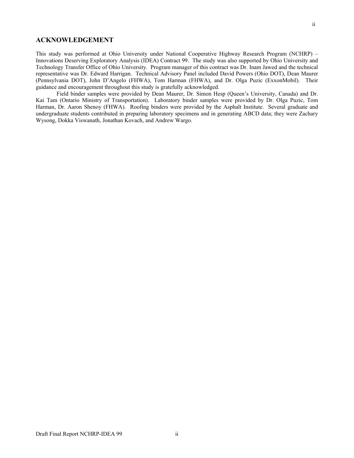## **ACKNOWLEDGEMENT**

This study was performed at Ohio University under National Cooperative Highway Research Program (NCHRP) – Innovations Deserving Exploratory Analysis (IDEA) Contract 99. The study was also supported by Ohio University and Technology Transfer Office of Ohio University. Program manager of this contract was Dr. Inam Jawed and the technical representative was Dr. Edward Harrigan. Technical Advisory Panel included David Powers (Ohio DOT), Dean Maurer (Pennsylvania DOT), John D'Angelo (FHWA), Tom Harman (FHWA), and Dr. Olga Puzic (ExxonMobil). Their guidance and encouragement throughout this study is gratefully acknowledged.

 Field binder samples were provided by Dean Maurer, Dr. Simon Hesp (Queen's University, Canada) and Dr. Kai Tam (Ontario Ministry of Transportation). Laboratory binder samples were provided by Dr. Olga Puzic, Tom Harman, Dr. Aaron Shenoy (FHWA). Roofing binders were provided by the Asphalt Institute. Several graduate and undergraduate students contributed in preparing laboratory specimens and in generating ABCD data; they were Zachary Wysong, Dokka Viswanath, Jonathan Kovach, and Andrew Wargo.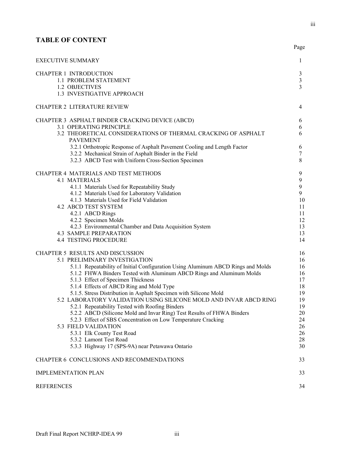# **TABLE OF CONTENT**

| <b>EXECUTIVE SUMMARY</b>                                                                                                                                                                                                                                                                                                                                                                                                                                                                                                                                                                                                                                                                                                                                                                    | 1                                                                                          |
|---------------------------------------------------------------------------------------------------------------------------------------------------------------------------------------------------------------------------------------------------------------------------------------------------------------------------------------------------------------------------------------------------------------------------------------------------------------------------------------------------------------------------------------------------------------------------------------------------------------------------------------------------------------------------------------------------------------------------------------------------------------------------------------------|--------------------------------------------------------------------------------------------|
| <b>CHAPTER 1 INTRODUCTION</b><br>1.1 PROBLEM STATEMENT<br>1.2 OBJECTIVES<br>1.3 INVESTIGATIVE APPROACH                                                                                                                                                                                                                                                                                                                                                                                                                                                                                                                                                                                                                                                                                      | 3<br>$\mathfrak{Z}$<br>3                                                                   |
| <b>CHAPTER 2 LITERATURE REVIEW</b>                                                                                                                                                                                                                                                                                                                                                                                                                                                                                                                                                                                                                                                                                                                                                          | 4                                                                                          |
| CHAPTER 3 ASPHALT BINDER CRACKING DEVICE (ABCD)<br>3.1 OPERATING PRINCIPLE<br>3.2 THEORETICAL CONSIDERATIONS OF THERMAL CRACKING OF ASPHALT<br><b>PAVEMENT</b><br>3.2.1 Orthotropic Response of Asphalt Pavement Cooling and Length Factor<br>3.2.2 Mechanical Strain of Asphalt Binder in the Field<br>3.2.3 ABCD Test with Uniform Cross-Section Specimen                                                                                                                                                                                                                                                                                                                                                                                                                                 | 6<br>6<br>6<br>6<br>7<br>8                                                                 |
| CHAPTER 4 MATERIALS AND TEST METHODS<br><b>4.1 MATERIALS</b><br>4.1.1 Materials Used for Repeatability Study<br>4.1.2 Materials Used for Laboratory Validation<br>4.1.3 Materials Used for Field Validation<br><b>4.2 ABCD TEST SYSTEM</b><br>4.2.1 ABCD Rings<br>4.2.2 Specimen Molds<br>4.2.3 Environmental Chamber and Data Acquisition System<br><b>4.3 SAMPLE PREPARATION</b><br><b>4.4 TESTING PROCEDURE</b>                                                                                                                                                                                                                                                                                                                                                                          | 9<br>9<br>9<br>9<br>10<br>11<br>11<br>12<br>13<br>13<br>14                                 |
| CHAPTER 5 RESULTS AND DISCUSSION<br>5.1 PRELIMINARY INVESTIGATION<br>5.1.1 Repeatability of Initial Configuration Using Aluminum ABCD Rings and Molds<br>5.1.2 FHWA Binders Tested with Aluminum ABCD Rings and Aluminum Molds<br>5.1.3 Effect of Specimen Thickness<br>5.1.4 Effects of ABCD Ring and Mold Type<br>5.1.5. Stress Distribution in Asphalt Specimen with Silicone Mold<br>5.2 LABORATORY VALIDATION USING SILICONE MOLD AND INVAR ABCD RING<br>5.2.1 Repeatability Tested with Roofing Binders<br>5.2.2 ABCD (Silicone Mold and Invar Ring) Test Results of FHWA Binders<br>5.2.3 Effect of SBS Concentration on Low Temperature Cracking<br>5.3 FIELD VALIDATION<br>5.3.1 Elk County Test Road<br>5.3.2 Lamont Test Road<br>5.3.3 Highway 17 (SPS-9A) near Petawawa Ontario | 16<br>16<br>16<br>16<br>17<br>18<br>19<br>19<br>19<br>$20\,$<br>24<br>26<br>26<br>28<br>30 |
| CHAPTER 6 CONCLUSIONS AND RECOMMENDATIONS                                                                                                                                                                                                                                                                                                                                                                                                                                                                                                                                                                                                                                                                                                                                                   | 33                                                                                         |
| <b>IMPLEMENTATION PLAN</b>                                                                                                                                                                                                                                                                                                                                                                                                                                                                                                                                                                                                                                                                                                                                                                  | 33                                                                                         |
| <b>REFERENCES</b>                                                                                                                                                                                                                                                                                                                                                                                                                                                                                                                                                                                                                                                                                                                                                                           | 34                                                                                         |

**Page**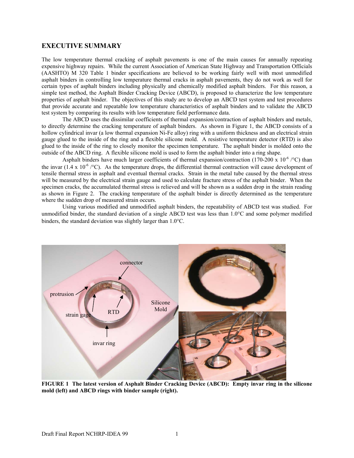## **EXECUTIVE SUMMARY**

The low temperature thermal cracking of asphalt pavements is one of the main causes for annually repeating expensive highway repairs. While the current Association of American State Highway and Transportation Officials (AASHTO) M 320 Table 1 binder specifications are believed to be working fairly well with most unmodified asphalt binders in controlling low temperature thermal cracks in asphalt pavements, they do not work as well for certain types of asphalt binders including physically and chemically modified asphalt binders. For this reason, a simple test method, the Asphalt Binder Cracking Device (ABCD), is proposed to characterize the low temperature properties of asphalt binder. The objectives of this study are to develop an ABCD test system and test procedures that provide accurate and repeatable low temperature characteristics of asphalt binders and to validate the ABCD test system by comparing its results with low temperature field performance data.

The ABCD uses the dissimilar coefficients of thermal expansion/contraction of asphalt binders and metals, to directly determine the cracking temperature of asphalt binders. As shown in Figure 1, the ABCD consists of a hollow cylindrical invar (a low thermal expansion Ni-Fe alloy) ring with a uniform thickness and an electrical strain gauge glued to the inside of the ring and a flexible silicone mold. A resistive temperature detector (RTD) is also glued to the inside of the ring to closely monitor the specimen temperature. The asphalt binder is molded onto the outside of the ABCD ring. A flexible silicone mold is used to form the asphalt binder into a ring shape.

Asphalt binders have much larger coefficients of thermal expansion/contraction (170-200 x 10<sup>-6</sup> /<sup>°</sup>C) than the invar (1.4 x 10<sup>-6</sup> /°C). As the temperature drops, the differential thermal contraction will cause development of tensile thermal stress in asphalt and eventual thermal cracks. Strain in the metal tube caused by the thermal stress will be measured by the electrical strain gauge and used to calculate fracture stress of the asphalt binder. When the specimen cracks, the accumulated thermal stress is relieved and will be shown as a sudden drop in the strain reading as shown in Figure 2. The cracking temperature of the asphalt binder is directly determined as the temperature where the sudden drop of measured strain occurs.

Using various modified and unmodified asphalt binders, the repeatability of ABCD test was studied. For unmodified binder, the standard deviation of a single ABCD test was less than 1.0°C and some polymer modified binders, the standard deviation was slightly larger than 1.0°C.



**FIGURE 1 The latest version of Asphalt Binder Cracking Device (ABCD): Empty invar ring in the silicone mold (left) and ABCD rings with binder sample (right).**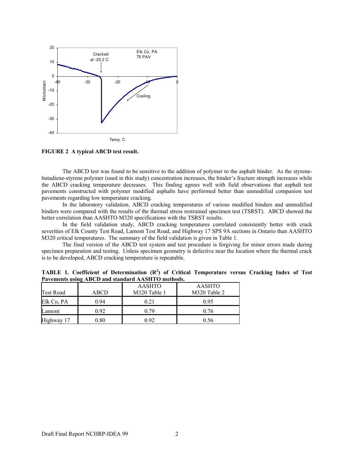

**FIGURE 2 A typical ABCD test result.** 

The ABCD test was found to be sensitive to the addition of polymer to the asphalt binder. As the styrenebutadiene-styrene polymer (used in this study) concentration increases, the binder's fracture strength increases while the ABCD cracking temperature decreases. This finding agrees well with field observations that asphalt test pavements constructed with polymer modified asphalts have performed better than unmodified companion test pavements regarding low temperature cracking.

In the laboratory validation, ABCD cracking temperatures of various modified binders and unmodified binders were compared with the results of the thermal stress restrained specimen test (TSRST). ABCD showed the better correlation than AASHTO M320 specifications with the TSRST results.

In the field validation study, ABCD cracking temperatures correlated consistently better with crack severities of Elk County Test Road, Lamont Test Road, and Highway 17 SPS 9A sections in Ontario than AASHTO M320 critical temperatures. The summary of the field validation is given in Table 1.

The final version of the ABCD test system and test procedure is forgiving for minor errors made during specimen preparation and testing. Unless specimen geometry is defective near the location where the thermal crack is to be developed, ABCD cracking temperature is repeatable.

| <b>Test Road</b> | ABCD | <b>AASHTO</b><br>M320 Table 1 | <b>AASHTO</b><br>M <sub>320</sub> Table 2 |
|------------------|------|-------------------------------|-------------------------------------------|
| Elk Co, PA       | 0.94 | 0.21                          | 0.95                                      |
| Lamont           | 0.92 | 0.79                          | በ 76                                      |
| Highway 17       | 0.80 | 0 92                          | 0.56                                      |

**TABLE 1. Coefficient of Determination (R<sup>2</sup> ) of Critical Temperature versus Cracking Index of Test Pavements using ABCD and standard AASHTO methods.**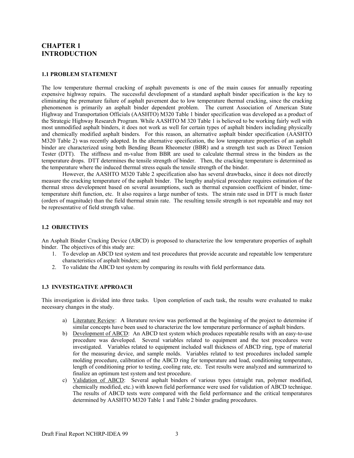# **CHAPTER 1 INTRODUCTION**

#### **1.1 PROBLEM STATEMENT**

The low temperature thermal cracking of asphalt pavements is one of the main causes for annually repeating expensive highway repairs. The successful development of a standard asphalt binder specification is the key to eliminating the premature failure of asphalt pavement due to low temperature thermal cracking, since the cracking phenomenon is primarily an asphalt binder dependent problem. The current Association of American State Highway and Transportation Officials (AASHTO) M320 Table 1 binder specification was developed as a product of the Strategic Highway Research Program. While AASHTO M 320 Table 1 is believed to be working fairly well with most unmodified asphalt binders, it does not work as well for certain types of asphalt binders including physically and chemically modified asphalt binders. For this reason, an alternative asphalt binder specification (AASHTO M320 Table 2) was recently adopted. In the alternative specification, the low temperature properties of an asphalt binder are characterized using both Bending Beam Rheometer (BBR) and a strength test such as Direct Tension Tester (DTT). The stiffness and m-value from BBR are used to calculate thermal stress in the binders as the temperature drops. DTT determines the tensile strength of binder. Then, the cracking temperature is determined as the temperature where the induced thermal stress equals the tensile strength of the binder.

 However, the AASHTO M320 Table 2 specification also has several drawbacks, since it does not directly measure the cracking temperature of the asphalt binder. The lengthy analytical procedure requires estimation of the thermal stress development based on several assumptions, such as thermal expansion coefficient of binder, timetemperature shift function, etc. It also requires a large number of tests. The strain rate used in DTT is much faster (orders of magnitude) than the field thermal strain rate. The resulting tensile strength is not repeatable and may not be representative of field strength value.

#### **1.2 OBJECTIVES**

An Asphalt Binder Cracking Device (ABCD) is proposed to characterize the low temperature properties of asphalt binder. The objectives of this study are:

- 1. To develop an ABCD test system and test procedures that provide accurate and repeatable low temperature characteristics of asphalt binders; and
- 2. To validate the ABCD test system by comparing its results with field performance data.

#### **1.3 INVESTIGATIVE APPROACH**

This investigation is divided into three tasks. Upon completion of each task, the results were evaluated to make necessary changes in the study.

- a) Literature Review: A literature review was performed at the beginning of the project to determine if similar concepts have been used to characterize the low temperature performance of asphalt binders.
- b) Development of ABCD: An ABCD test system which produces repeatable results with an easy-to-use procedure was developed. Several variables related to equipment and the test procedures were investigated. Variables related to equipment included wall thickness of ABCD ring, type of material for the measuring device, and sample molds. Variables related to test procedures included sample molding procedure, calibration of the ABCD ring for temperature and load, conditioning temperature, length of conditioning prior to testing, cooling rate, etc. Test results were analyzed and summarized to finalize an optimum test system and test procedure.
- c) Validation of ABCD: Several asphalt binders of various types (straight run, polymer modified, chemically modified, etc.) with known field performance were used for validation of ABCD technique. The results of ABCD tests were compared with the field performance and the critical temperatures determined by AASHTO M320 Table 1 and Table 2 binder grading procedures.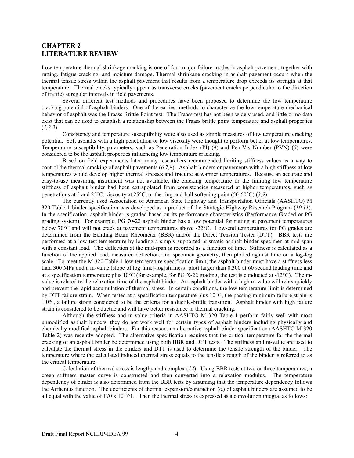# **CHAPTER 2 LITERATURE REVIEW**

Low temperature thermal shrinkage cracking is one of four major failure modes in asphalt pavement, together with rutting, fatigue cracking, and moisture damage. Thermal shrinkage cracking in asphalt pavement occurs when the thermal tensile stress within the asphalt pavement that results from a temperature drop exceeds its strength at that temperature. Thermal cracks typically appear as transverse cracks (pavement cracks perpendicular to the direction of traffic) at regular intervals in field pavements.

Several different test methods and procedures have been proposed to determine the low temperature cracking potential of asphalt binders. One of the earliest methods to characterize the low-temperature mechanical behavior of asphalt was the Fraass Brittle Point test. The Fraass test has not been widely used, and little or no data exist that can be used to establish a relationship between the Fraass brittle point temperature and asphalt properties (*1,2,3*).

Consistency and temperature susceptibility were also used as simple measures of low temperature cracking potential. Soft asphalts with a high penetration or low viscosity were thought to perform better at low temperatures. Temperature susceptibility parameters, such as Penetration Index (PI) (*4*) and Pen-Vis Number (PVN) (*5*) were considered to be the asphalt properties influencing low temperature cracking.

 Based on field experiments later, many researchers recommended limiting stiffness values as a way to control the thermal cracking of asphalt pavements (*6,7,8*). Asphalt binders or pavements with a high stiffness at low temperatures would develop higher thermal stresses and fracture at warmer temperatures. Because an accurate and easy-to-use measuring instrument was not available, the cracking temperature or the limiting low temperature stiffness of asphalt binder had been extrapolated from consistencies measured at higher temperatures, such as penetrations at 5 and 25°C, viscosity at 25°C, or the ring-and-ball softening point (50-60°C) (*3,9*).

 The currently used Association of American State Highway and Transportation Officials (AASHTO) M 320 Table 1 binder specification was developed as a product of the Strategic Highway Research Program (*10,11*). In the specification, asphalt binder is graded based on its performance characteristics (**P**erformance **G**raded or PG grading system). For example, PG 70-22 asphalt binder has a low potential for rutting at pavement temperatures below 70°C and will not crack at pavement temperatures above -22°C. Low-end temperatures for PG grades are determined from the Bending Beam Rheometer (BBR) and/or the Direct Tension Tester (DTT). BBR tests are performed at a low test temperature by loading a simply supported prismatic asphalt binder specimen at mid-span with a constant load. The deflection at the mid-span is recorded as a function of time. Stiffness is calculated as a function of the applied load, measured deflection, and specimen geometry, then plotted against time on a log-log scale. To meet the M 320 Table 1 low temperature specification limit, the asphalt binder must have a stiffness less than 300 MPa and a m-value (slope of log[time]-log[stiffness] plot) larger than 0.300 at 60 second loading time and at a specification temperature plus 10 $^{\circ}$ C (for example, for PG X-22 grading, the test is conducted at -12 $^{\circ}$ C). The mvalue is related to the relaxation time of the asphalt binder. An asphalt binder with a high m-value will relax quickly and prevent the rapid accumulation of thermal stress. In certain conditions, the low temperature limit is determined by DTT failure strain. When tested at a specification temperature plus 10°C, the passing minimum failure strain is 1.0%, a failure strain considered to be the criteria for a ductile-brittle transition. Asphalt binder with high failure strain is considered to be ductile and will have better resistance to thermal cracking.

 Although the stiffness and m-value criteria in AASHTO M 320 Table 1 perform fairly well with most unmodified asphalt binders, they do not work well for certain types of asphalt binders including physically and chemically modified asphalt binders. For this reason, an alternative asphalt binder specification (AASHTO M 320 Table 2) was recently adopted. The alternative specification requires that the critical temperature for the thermal cracking of an asphalt binder be determined using both BBR and DTT tests. The stiffness and m-value are used to calculate the thermal stress in the binders and DTT is used to determine the tensile strength of the binder. The temperature where the calculated induced thermal stress equals to the tensile strength of the binder is referred to as the critical temperature.

 Calculation of thermal stress is lengthy and complex (*12*). Using BBR tests at two or three temperatures, a creep stiffness master curve is constructed and then converted into a relaxation modulus. The temperature dependency of binder is also determined from the BBR tests by assuming that the temperature dependency follows the Arrhenius function. The coefficients of thermal expansion/contraction ( $\alpha$ ) of asphalt binders are assumed to be all equal with the value of 170 x  $10^{-6}$  °C. Then the thermal stress is expressed as a convolution integral as follows: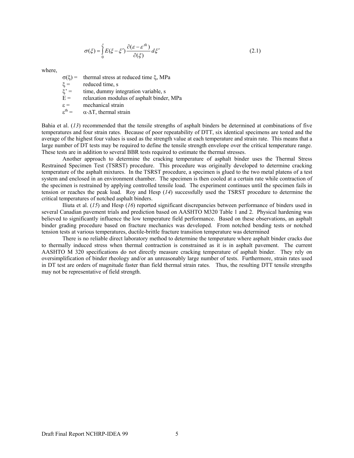$$
\sigma(\xi) = \int_{0}^{\xi} E(\xi - \xi') \frac{\partial(\varepsilon - \varepsilon'^h)}{\partial(\xi)} d\xi'
$$
\n(2.1)

where,

σ(ξ) = thermal stress at reduced time ξ, MPa

 $\xi$  = reduced time, s

 $\xi$ <sup>'</sup> = time, dummy integration variable, s

 $E =$  relaxation modulus of asphalt binder, MPa

 $\epsilon$  = mechanical strain

 $\varepsilon^{\text{th}} =$  $\alpha$ ⋅ $\Delta$ T, thermal strain

Bahia et al. (*13*) recommended that the tensile strengths of asphalt binders be determined at combinations of five temperatures and four strain rates. Because of poor repeatability of DTT, six identical specimens are tested and the average of the highest four values is used as the strength value at each temperature and strain rate. This means that a large number of DT tests may be required to define the tensile strength envelope over the critical temperature range. These tests are in addition to several BBR tests required to estimate the thermal stresses.

Another approach to determine the cracking temperature of asphalt binder uses the Thermal Stress Restrained Specimen Test (TSRST) procedure. This procedure was originally developed to determine cracking temperature of the asphalt mixtures. In the TSRST procedure, a specimen is glued to the two metal platens of a test system and enclosed in an environment chamber. The specimen is then cooled at a certain rate while contraction of the specimen is restrained by applying controlled tensile load. The experiment continues until the specimen fails in tension or reaches the peak load. Roy and Hesp (*14*) successfully used the TSRST procedure to determine the critical temperatures of notched asphalt binders.

Iliuta et al. (*15*) and Hesp (*16*) reported significant discrepancies between performance of binders used in several Canadian pavement trials and prediction based on AASHTO M320 Table 1 and 2. Physical hardening was believed to significantly influence the low temperature field performance. Based on these observations, an asphalt binder grading procedure based on fracture mechanics was developed. From notched bending tests or notched tension tests at various temperatures, ductile-brittle fracture transition temperature was determined

 There is no reliable direct laboratory method to determine the temperature where asphalt binder cracks due to thermally induced stress when thermal contraction is constrained as it is in asphalt pavement. The current AASHTO M 320 specifications do not directly measure cracking temperature of asphalt binder. They rely on oversimplification of binder rheology and/or an unreasonably large number of tests. Furthermore, strain rates used in DT test are orders of magnitude faster than field thermal strain rates. Thus, the resulting DTT tensile strengths may not be representative of field strength.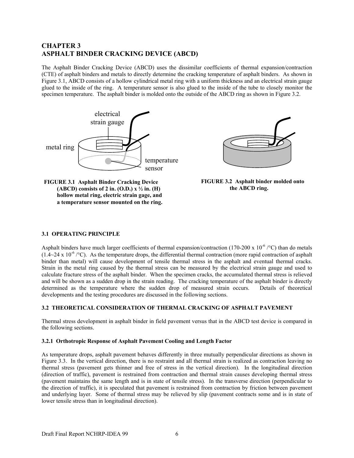# **CHAPTER 3 ASPHALT BINDER CRACKING DEVICE (ABCD)**

The Asphalt Binder Cracking Device (ABCD) uses the dissimilar coefficients of thermal expansion/contraction (CTE) of asphalt binders and metals to directly determine the cracking temperature of asphalt binders. As shown in Figure 3.1, ABCD consists of a hollow cylindrical metal ring with a uniform thickness and an electrical strain gauge glued to the inside of the ring. A temperature sensor is also glued to the inside of the tube to closely monitor the specimen temperature. The asphalt binder is molded onto the outside of the ABCD ring as shown in Figure 3.2.



**FIGURE 3.1 Asphalt Binder Cracking Device (ABCD) consists of 2 in. (O.D.) x ½ in. (H) hollow metal ring, electric strain gage, and a temperature sensor mounted on the ring.** 



**FIGURE 3.2 Asphalt binder molded onto the ABCD ring.** 

## **3.1 OPERATING PRINCIPLE**

Asphalt binders have much larger coefficients of thermal expansion/contraction (170-200 x 10<sup>-6</sup> / $\degree$ C) than do metals  $(1.4~24 \times 10^{-6}$  /°C). As the temperature drops, the differential thermal contraction (more rapid contraction of asphalt binder than metal) will cause development of tensile thermal stress in the asphalt and eventual thermal cracks. Strain in the metal ring caused by the thermal stress can be measured by the electrical strain gauge and used to calculate fracture stress of the asphalt binder. When the specimen cracks, the accumulated thermal stress is relieved and will be shown as a sudden drop in the strain reading. The cracking temperature of the asphalt binder is directly determined as the temperature where the sudden drop of measured strain occurs. Details of theoretical developments and the testing procedures are discussed in the following sections.

## **3.2 THEORETICAL CONSIDERATION OF THERMAL CRACKING OF ASPHALT PAVEMENT**

Thermal stress development in asphalt binder in field pavement versus that in the ABCD test device is compared in the following sections.

## **3.2.1 Orthotropic Response of Asphalt Pavement Cooling and Length Factor**

As temperature drops, asphalt pavement behaves differently in three mutually perpendicular directions as shown in Figure 3.3. In the vertical direction, there is no restraint and all thermal strain is realized as contraction leaving no thermal stress (pavement gets thinner and free of stress in the vertical direction). In the longitudinal direction (direction of traffic), pavement is restrained from contraction and thermal strain causes developing thermal stress (pavement maintains the same length and is in state of tensile stress). In the transverse direction (perpendicular to the direction of traffic), it is speculated that pavement is restrained from contraction by friction between pavement and underlying layer. Some of thermal stress may be relieved by slip (pavement contracts some and is in state of lower tensile stress than in longitudinal direction).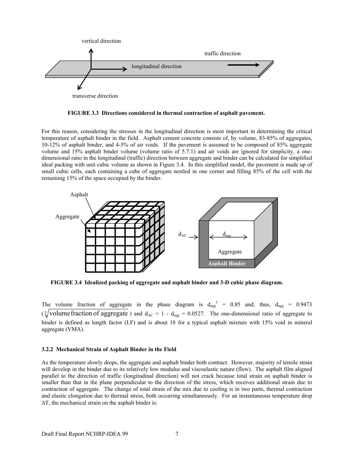

**FIGURE 3.3 Directions considered in thermal contraction of asphalt pavement.** 

For this reason, considering the stresses in the longitudinal direction is most important in determining the critical temperature of asphalt binder in the field. Asphalt cement concrete consists of, by volume, 83-85% of aggregates, 10-12% of asphalt binder, and 4-5% of air voids. If the pavement is assumed to be composed of 85% aggregate volume and 15% asphalt binder volume (volume ratio of 5.7:1) and air voids are ignored for simplicity, a onedimensional ratio in the longitudinal (traffic) direction between aggregate and binder can be calculated for simplified ideal packing with unit cubic volume as shown in Figure 3.4. In this simplified model, the pavement is made up of small cubic cells, each containing a cube of aggregate nestled in one corner and filling 85% of the cell with the remaining 15% of the space occupied by the binder.



**FIGURE 3.4 Idealized packing of aggregate and asphalt binder and 3-D cubic phase diagram.** 

The volume fraction of aggregate in the phase diagram is  $d_{\text{agg}}^3 = 0.85$  and, thus,  $d_{\text{agg}} = 0.9473$ ( $\sqrt[3]{$ volume fraction of aggregate) and  $d_{AC} = 1 - d_{agg} = 0.0527$ . The one-dimensional ratio of aggregate to binder is defined as length factor (LF) and is about 18 for a typical asphalt mixture with 15% void in mineral aggregate (VMA).

# **3.2.2 Mechanical Strain of Asphalt Binder in the Field**

As the temperature slowly drops, the aggregate and asphalt binder both contract. However, majority of tensile strain will develop in the binder due to its relatively low modulus and viscoelastic nature (flow). The asphalt film aligned parallel to the direction of traffic (longitudinal direction) will not crack because total strain on asphalt binder is smaller than that in the plane perpendicular to the direction of the stress, which receives additional strain due to contraction of aggregate. The change of total strain of the mix due to cooling is in two parts, thermal contraction and elastic elongation due to thermal stress, both occurring simultaneously. For an instantaneous temperature drop ∆T, the mechanical strain on the asphalt binder is: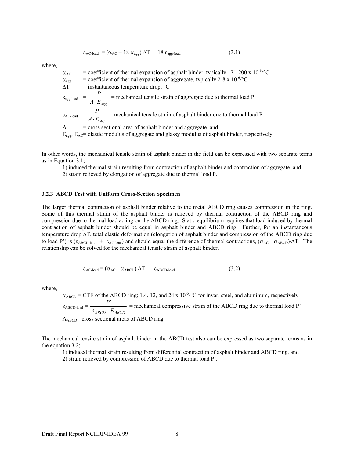$$
\varepsilon_{AC\text{-load}} = (\alpha_{AC} + 18 \alpha_{agg}) \Delta T - 18 \varepsilon_{agg\text{-load}} \tag{3.1}
$$

where,

$$
\alpha_{AC} = \text{coefficient of thermal expansion of asphalt binder, typically 171-200 x 10-6/°C} \n\alpha_{agg} = \text{coefficient of thermal expansion of aggregate, typically 2-8 x 10-6/°C} \n\Delta T = \text{instantaneous temperature drop, °C} \n\epsilon_{agg\text{-load}} = \frac{P}{A \cdot E_{agg}} = \text{mechanical tensile strain of aggregate due to thermal load P} \n\epsilon_{AC\text{-load}} = \frac{P}{A \cdot E_{AC}} = \text{mechanical tensile strain of asphalt binder due to thermal load P} \n\text{A} = \text{cross sectional area of asphalt binder and aggregate, and} \nE_{agg}, E_{AC} = \text{elastic modulus of aggregate and glassy modulus of asphalt binder, respectively}
$$

In other words, the mechanical tensile strain of asphalt binder in the field can be expressed with two separate terms as in Equation 3.1;

1) induced thermal strain resulting from contraction of asphalt binder and contraction of aggregate, and

2) strain relieved by elongation of aggregate due to thermal load P.

#### **3.2.3 ABCD Test with Uniform Cross-Section Specimen**

The larger thermal contraction of asphalt binder relative to the metal ABCD ring causes compression in the ring. Some of this thermal strain of the asphalt binder is relieved by thermal contraction of the ABCD ring and compression due to thermal load acting on the ABCD ring. Static equilibrium requires that load induced by thermal contraction of asphalt binder should be equal in asphalt binder and ABCD ring. Further, for an instantaneous temperature drop ∆T, total elastic deformation (elongation of asphalt binder and compression of the ABCD ring due to load P') is ( $\epsilon_{ABCD-load}$  +  $\epsilon_{AC-load}$ ) and should equal the difference of thermal contractions, ( $\alpha_{AC}$  -  $\alpha_{ABCD}$ )⋅ΔT. The relationship can be solved for the mechanical tensile strain of asphalt binder.

$$
\varepsilon_{\text{AC-load}} = (\alpha_{\text{AC}} - \alpha_{\text{ABCD}}) \Delta T - \varepsilon_{\text{ABCD-load}} \tag{3.2}
$$

where,

 $\alpha_{ABCD}$  = CTE of the ABCD ring; 1.4, 12, and 24 x 10<sup>-6</sup>/°C for invar, steel, and aluminum, respectively  $\varepsilon_{\text{ABCD-load}} = \frac{P'}{A_{\text{ABCD}} \cdot E_{\text{ABCD}}}$  $\frac{P'}{E_{ABCD}}$  = mechanical compressive strain of the ABCD ring due to thermal load P'  $A_{ABCD}$ = cross sectional areas of ABCD ring

The mechanical tensile strain of asphalt binder in the ABCD test also can be expressed as two separate terms as in the equation 3.2;

1) induced thermal strain resulting from differential contraction of asphalt binder and ABCD ring, and

2) strain relieved by compression of ABCD due to thermal load P'.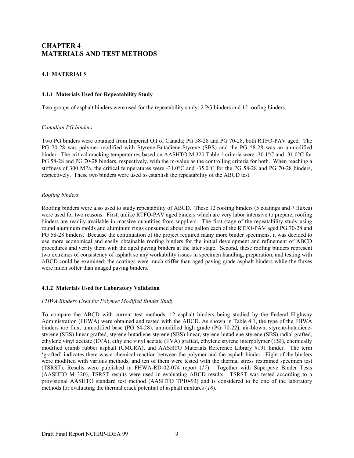# **CHAPTER 4 MATERIALS AND TEST METHODS**

## **4.1 MATERIALS**

#### **4.1.1 Materials Used for Repeatability Study**

Two groups of asphalt binders were used for the repeatability study: 2 PG binders and 12 roofing binders.

#### *Canadian PG binders*

Two PG binders were obtained from Imperial Oil of Canada; PG 58-28 and PG 70-28, both RTFO-PAV aged. The PG 70-28 was polymer modified with Styrene-Butadiene-Styrene (SBS) and the PG 58-28 was an unmodified binder. The critical cracking temperatures based on AASHTO M 320 Table 1 criteria were -30.1°C and -31.0°C for PG 58-28 and PG 70-28 binders, respectively, with the m-value as the controlling criteria for both. When reaching a stiffness of 300 MPa, the critical temperatures were -31.0°C and -35.0°C for the PG 58-28 and PG 70-28 binders, respectively. These two binders were used to establish the repeatability of the ABCD test.

#### *Roofing binders*

Roofing binders were also used to study repeatability of ABCD. These 12 roofing binders (5 coatings and 7 fluxes) were used for two reasons. First, unlike RTFO-PAV aged binders which are very labor intensive to prepare, roofing binders are readily available in massive quantities from suppliers. The first stage of the repeatability study using round aluminum molds and aluminum rings consumed about one gallon each of the RTFO-PAV aged PG 70-28 and PG 58-28 binders. Because the continuation of the project required many more binder specimens, it was decided to use more economical and easily obtainable roofing binders for the initial development and refinement of ABCD procedures and verify them with the aged paving binders at the later stage. Second, these roofing binders represent two extremes of consistency of asphalt so any workability issues in specimen handling, preparation, and testing with ABCD could be examined; the coatings were much stiffer than aged paving grade asphalt binders while the fluxes were much softer than unaged paving binders.

## **4.1.2 Materials Used for Laboratory Validation**

#### *FHWA Binders Used for Polymer Modified Binder Study*

To compare the ABCD with current test methods, 12 asphalt binders being studied by the Federal Highway Administration (FHWA) were obtained and tested with the ABCD. As shown in Table 4.1, the type of the FHWA binders are flux, unmodified base (PG 64-28), unmodified high grade (PG 70-22), air-blown, styrene-butadienestyrene (SBS) linear grafted, styrene-butadiene-styrene (SBS) linear, styrene-butadiene-styrene (SBS) radial grafted, ethylene vinyl acetate (EVA), ethylene vinyl acetate (EVA) grafted, ethylene styrene interpolymer (ESI), chemically modified crumb rubber asphalt (CMCRA), and AASHTO Materials Reference Library #191 binder. The term 'grafted' indicates there was a chemical reaction between the polymer and the asphalt binder. Eight of the binders were modified with various methods, and ten of them were tested with the thermal stress restrained specimen test (TSRST). Results were published in FHWA-RD-02-074 report (*17*). Together with Superpave Binder Tests (AASHTO M 320), TSRST results were used in evaluating ABCD results. TSRST was tested according to a provisional AASHTO standard test method (AASHTO TP10-93) and is considered to be one of the laboratory methods for evaluating the thermal crack potential of asphalt mixtures (*18*).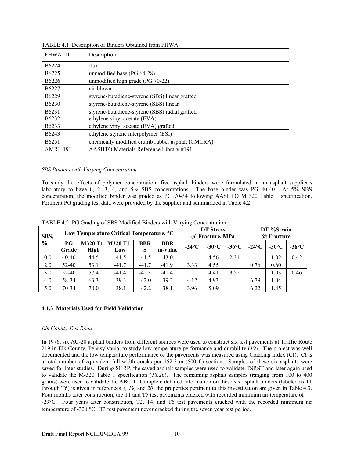| <b>FHWA ID</b>    | Description                                      |
|-------------------|--------------------------------------------------|
| B <sub>6224</sub> | flux                                             |
| B <sub>6225</sub> | unmodified base (PG 64-28)                       |
| B <sub>6226</sub> | unmodified high grade (PG 70-22)                 |
| B <sub>6227</sub> | air-blown                                        |
| B <sub>6229</sub> | styrene-butadiene-styrene (SBS) linear grafted   |
| B <sub>6230</sub> | styrene-butadiene-styrene (SBS) linear           |
| B <sub>6231</sub> | styrene-butadiene-styrene (SBS) radial grafted   |
| B <sub>6232</sub> | ethylene vinyl acetate (EVA)                     |
| B <sub>6233</sub> | ethylene vinyl acetate (EVA) grafted             |
| B <sub>6243</sub> | ethylene styrene interpolymer (ESI)              |
| B <sub>6251</sub> | chemically modified crumb rubber asphalt (CMCRA) |
| <b>AMRL 191</b>   | AASHTO Materials Reference Library #191          |

TABLE 4.1 Description of Binders Obtained from FHWA

## *SBS Binders with Varying Concentration*

To study the effects of polymer concentration, five asphalt binders were formulated in an asphalt supplier's laboratory to have 0, 2, 3, 4, and 5% SBS concentrations. The base binder was PG 40-40. At  $5\%$  SBS concentration, the modified binder was graded as PG 70-34 following AASHTO M 320 Table 1 specification. Pertinent PG grading test data were provided by the supplier and summarized in Table 4.2.

| SBS,          | Low Temperature Critical Temperature, <sup>o</sup> C |                        |                       |                 |                        |          | <b>DT</b> Stress<br>@ Fracture, MPa |          | DT %Strain<br>@ Fracture |                 |              |
|---------------|------------------------------------------------------|------------------------|-----------------------|-----------------|------------------------|----------|-------------------------------------|----------|--------------------------|-----------------|--------------|
| $\frac{0}{0}$ | РG<br>Grade                                          | <b>M320 T1</b><br>High | <b>M320 T1</b><br>Low | <b>BBR</b><br>S | <b>BBR</b><br>lm-value | $-24$ °C | $-30^{\circ}$ C                     | $-36$ °C | $-24$ °C                 | $-30^{\circ}$ C | -36°C $\sim$ |
| 0.0           | 40-40                                                | 44.5                   | $-41.5$               | $-41.5$         | $-43.0$                |          | 4.56                                | 2.31     |                          | 1.02            | 0.42         |
| 2.0           | 52-40                                                | 53.1                   | $-41.7$               | $-41.7$         | $-41.9$                | 3.33     | 4.55                                |          | 0.76                     | 0.60            |              |
| 3.0           | $52 - 40$                                            | 57.4                   | $-41.4$               | $-42.3$         | $-41.4$                |          | 4.41                                | 3.52     |                          | 1.03            | 0.46         |
| 4.0           | 58-34                                                | 63.3                   | $-39.3$               | $-42.0$         | $-39.3$                | 4.12     | 4.93                                |          | 6.79                     | 1.04            |              |
| 5.0           | 70-34                                                | 70.0                   | $-38.1$               | $-42.2$         | $-38.1$                | 3.96     | 5.09                                |          | 6.22                     | 1.45            |              |

TABLE 4.2 PG Grading of SBS Modified Binders with Varying Concentration

## **4.1.3 Materials Used for Field Validation**

## *Elk County Test Road*

In 1976, six AC-20 asphalt binders from different sources were used to construct six test pavements at Traffic Route 219 in Elk County, Pennsylvania, to study low temperature performance and durability (*19*). The project was well documented and the low temperature performance of the pavements was measured using Cracking Index (CI). CI is a total number of equivalent full-width cracks per 152.5 m (500 ft) section. Samples of these six asphalts were saved for later studies. During SHRP, the saved asphalt samples were used to validate TSRST and later again used to validate the M-320 Table 1 specification (*18,20*). The remaining asphalt samples (ranging from 100 to 400 grams) were used to validate the ABCD. Complete detailed information on these six asphalt binders (labeled as T1 through T6) is given in references *8, 19,* and *20*; the properties pertinent to this investigation are given in Table 4.3. Four months after construction, the T1 and T5 test pavements cracked with recorded minimum air temperature of -29°C. Four years after construction, T2, T4, and T6 test pavements cracked with the recorded minimum air temperature of -32.8°C. T3 test pavement never cracked during the seven year test period.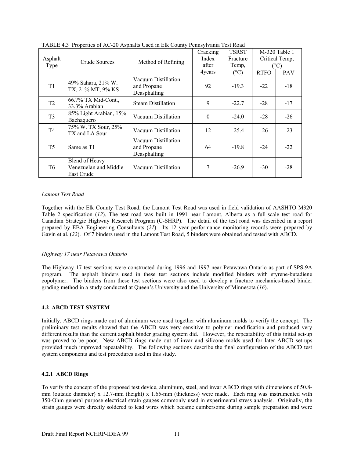| Asphalt<br>Type | Crude Sources                                         | Method of Refining                                 | Cracking<br>Index<br>after | TSRST<br>Fracture<br>Temp, | $M-320$ Table 1<br>Critical Temp,<br>$(^{\circ}C)$ |            |
|-----------------|-------------------------------------------------------|----------------------------------------------------|----------------------------|----------------------------|----------------------------------------------------|------------|
|                 |                                                       |                                                    | 4years                     | $(^{\circ}C)$              | <b>RTFO</b>                                        | <b>PAV</b> |
| T <sub>1</sub>  | 49% Sahara, 21% W.<br>TX, 21% MT, 9% KS               | Vacuum Distillation<br>and Propane<br>Deasphalting | 92                         | $-19.3$                    | $-22$                                              | $-18$      |
| T <sub>2</sub>  | 66.7% TX Mid-Cont.,<br>33.3% Arabian                  | <b>Steam Distillation</b>                          | 9                          | $-22.7$                    | $-28$                                              | $-17$      |
| T <sub>3</sub>  | 85% Light Arabian, 15%<br>Bachaquero                  | Vacuum Distillation                                | $\mathbf{0}$               | $-24.0$                    | $-28$                                              | $-26$      |
| T <sub>4</sub>  | 75% W. TX Sour, 25%<br>TX and LA Sour                 | Vacuum Distillation                                | 12                         | $-25.4$                    | $-26$                                              | $-23$      |
| T <sub>5</sub>  | Same as T1                                            | Vacuum Distillation<br>and Propane<br>Deasphalting | 64                         | $-19.8$                    | $-24$                                              | $-22$      |
| T6              | Blend of Heavy<br>Venezuelan and Middle<br>East Crude | Vacuum Distillation                                | 7                          | $-26.9$                    | $-30$                                              | $-28$      |

TABLE 4.3 Properties of AC-20 Asphalts Used in Elk County Pennsylvania Test Road

#### *Lamont Test Road*

Together with the Elk County Test Road, the Lamont Test Road was used in field validation of AASHTO M320 Table 2 specification (*12*). The test road was built in 1991 near Lamont, Alberta as a full-scale test road for Canadian Strategic Highway Research Program (C-SHRP). The detail of the test road was described in a report prepared by EBA Engineering Consultants (*21*). Its 12 year performance monitoring records were prepared by Gavin et al. (*22*). Of 7 binders used in the Lamont Test Road, 5 binders were obtained and tested with ABCD.

## *Highway 17 near Petawawa Ontario*

The Highway 17 test sections were constructed during 1996 and 1997 near Petawawa Ontario as part of SPS-9A program. The asphalt binders used in these test sections include modified binders with styrene-butadiene copolymer. The binders from these test sections were also used to develop a fracture mechanics-based binder grading method in a study conducted at Queen's University and the University of Minnesota (*16*).

## **4.2 ABCD TEST SYSTEM**

Initially, ABCD rings made out of aluminum were used together with aluminum molds to verify the concept. The preliminary test results showed that the ABCD was very sensitive to polymer modification and produced very different results than the current asphalt binder grading system did. However, the repeatability of this initial set-up was proved to be poor. New ABCD rings made out of invar and silicone molds used for later ABCD set-ups provided much improved repeatability. The following sections describe the final configuration of the ABCD test system components and test procedures used in this study.

## **4.2.1 ABCD Rings**

To verify the concept of the proposed test device, aluminum, steel, and invar ABCD rings with dimensions of 50.8 mm (outside diameter) x 12.7-mm (height) x 1.65-mm (thickness) were made. Each ring was instrumented with 350-Ohm general purpose electrical strain gauges commonly used in experimental stress analysis. Originally, the strain gauges were directly soldered to lead wires which became cumbersome during sample preparation and were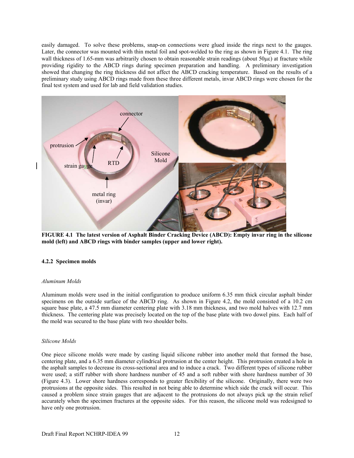easily damaged. To solve these problems, snap-on connections were glued inside the rings next to the gauges. Later, the connector was mounted with thin metal foil and spot-welded to the ring as shown in Figure 4.1. The ring wall thickness of 1.65-mm was arbitrarily chosen to obtain reasonable strain readings (about 50µε) at fracture while providing rigidity to the ABCD rings during specimen preparation and handling. A preliminary investigation showed that changing the ring thickness did not affect the ABCD cracking temperature. Based on the results of a preliminary study using ABCD rings made from these three different metals, invar ABCD rings were chosen for the final test system and used for lab and field validation studies.



**FIGURE 4.1 The latest version of Asphalt Binder Cracking Device (ABCD): Empty invar ring in the silicone mold (left) and ABCD rings with binder samples (upper and lower right).** 

## **4.2.2 Specimen molds**

#### *Aluminum Molds*

Aluminum molds were used in the initial configuration to produce uniform 6.35 mm thick circular asphalt binder specimens on the outside surface of the ABCD ring. As shown in Figure 4.2, the mold consisted of a 10.2 cm square base plate, a 47.5 mm diameter centering plate with 3.18 mm thickness, and two mold halves with 12.7 mm thickness. The centering plate was precisely located on the top of the base plate with two dowel pins. Each half of the mold was secured to the base plate with two shoulder bolts.

#### *Silicone Molds*

One piece silicone molds were made by casting liquid silicone rubber into another mold that formed the base, centering plate, and a 6.35 mm diameter cylindrical protrusion at the center height. This protrusion created a hole in the asphalt samples to decrease its cross-sectional area and to induce a crack. Two different types of silicone rubber were used; a stiff rubber with shore hardness number of 45 and a soft rubber with shore hardness number of 30 (Figure 4.3). Lower shore hardness corresponds to greater flexibility of the silicone. Originally, there were two protrusions at the opposite sides. This resulted in not being able to determine which side the crack will occur. This caused a problem since strain gauges that are adjacent to the protrusions do not always pick up the strain relief accurately when the specimen fractures at the opposite sides. For this reason, the silicone mold was redesigned to have only one protrusion.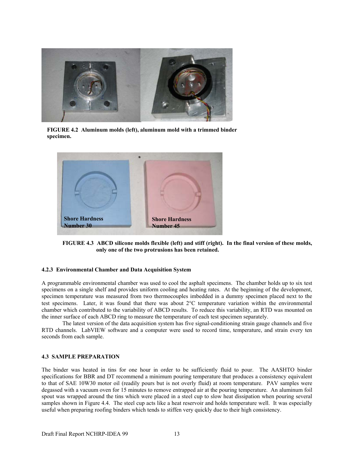

**FIGURE 4.2 Aluminum molds (left), aluminum mold with a trimmed binder specimen.** 



**FIGURE 4.3 ABCD silicone molds flexible (left) and stiff (right). In the final version of these molds, only one of the two protrusions has been retained.** 

#### **4.2.3 Environmental Chamber and Data Acquisition System**

A programmable environmental chamber was used to cool the asphalt specimens. The chamber holds up to six test specimens on a single shelf and provides uniform cooling and heating rates. At the beginning of the development, specimen temperature was measured from two thermocouples imbedded in a dummy specimen placed next to the test specimens. Later, it was found that there was about 2°C temperature variation within the environmental chamber which contributed to the variability of ABCD results. To reduce this variability, an RTD was mounted on the inner surface of each ABCD ring to measure the temperature of each test specimen separately.

 The latest version of the data acquisition system has five signal-conditioning strain gauge channels and five RTD channels. LabVIEW software and a computer were used to record time, temperature, and strain every ten seconds from each sample.

## **4.3 SAMPLE PREPARATION**

The binder was heated in tins for one hour in order to be sufficiently fluid to pour. The AASHTO binder specifications for BBR and DT recommend a minimum pouring temperature that produces a consistency equivalent to that of SAE 10W30 motor oil (readily pours but is not overly fluid) at room temperature. PAV samples were degassed with a vacuum oven for 15 minutes to remove entrapped air at the pouring temperature. An aluminum foil spout was wrapped around the tins which were placed in a steel cup to slow heat dissipation when pouring several samples shown in Figure 4.4. The steel cup acts like a heat reservoir and holds temperature well. It was especially useful when preparing roofing binders which tends to stiffen very quickly due to their high consistency.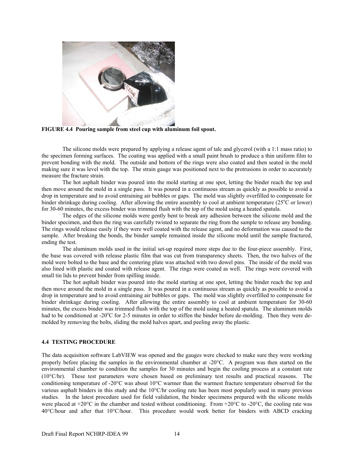

**FIGURE 4.4 Pouring sample from steel cup with aluminum foil spout.** 

 The silicone molds were prepared by applying a release agent of talc and glycerol (with a 1:1 mass ratio) to the specimen forming surfaces. The coating was applied with a small paint brush to produce a thin uniform film to prevent bonding with the mold. The outside and bottom of the rings were also coated and then seated in the mold making sure it was level with the top. The strain gauge was positioned next to the protrusions in order to accurately measure the fracture strain.

 The hot asphalt binder was poured into the mold starting at one spot, letting the binder reach the top and then move around the mold in a single pass. It was poured in a continuous stream as quickly as possible to avoid a drop in temperature and to avoid entraining air bubbles or gaps. The mold was slightly overfilled to compensate for binder shrinkage during cooling. After allowing the entire assembly to cool at ambient temperature (25°C or lower) for 30-60 minutes, the excess binder was trimmed flush with the top of the mold using a heated spatula.

 The edges of the silicone molds were gently bent to break any adhesion between the silicone mold and the binder specimen, and then the ring was carefully twisted to separate the ring from the sample to release any bonding. The rings would release easily if they were well coated with the release agent, and no deformation was caused to the sample. After breaking the bonds, the binder sample remained inside the silicone mold until the sample fractured, ending the test.

The aluminum molds used in the initial set-up required more steps due to the four-piece assembly. First, the base was covered with release plastic film that was cut from transparency sheets. Then, the two halves of the mold were bolted to the base and the centering plate was attached with two dowel pins. The inside of the mold was also lined with plastic and coated with release agent. The rings were coated as well. The rings were covered with small tin lids to prevent binder from spilling inside.

The hot asphalt binder was poured into the mold starting at one spot, letting the binder reach the top and then move around the mold in a single pass. It was poured in a continuous stream as quickly as possible to avoid a drop in temperature and to avoid entraining air bubbles or gaps. The mold was slightly overfilled to compensate for binder shrinkage during cooling. After allowing the entire assembly to cool at ambient temperature for 30-60 minutes, the excess binder was trimmed flush with the top of the mold using a heated spatula. The aluminum molds had to be conditioned at -20°C for 2-5 minutes in order to stiffen the binder before de-molding. Then they were demolded by removing the bolts, sliding the mold halves apart, and peeling away the plastic.

## **4.4 TESTING PROCEDURE**

The data acquisition software LabVIEW was opened and the gauges were checked to make sure they were working properly before placing the samples in the environmental chamber at -20°C. A program was then started on the environmental chamber to condition the samples for 30 minutes and begin the cooling process at a constant rate (10°C/hr). These test parameters were chosen based on preliminary test results and practical reasons. The conditioning temperature of -20°C was about 10°C warmer than the warmest fracture temperature observed for the various asphalt binders in this study and the 10°C/hr cooling rate has been most popularly used in many previous studies. In the latest procedure used for field validation, the binder specimens prepared with the silicone molds were placed at +20°C in the chamber and tested without conditioning. From +20°C to -20°C, the cooling rate was 40°C/hour and after that 10°C/hour. This procedure would work better for binders with ABCD cracking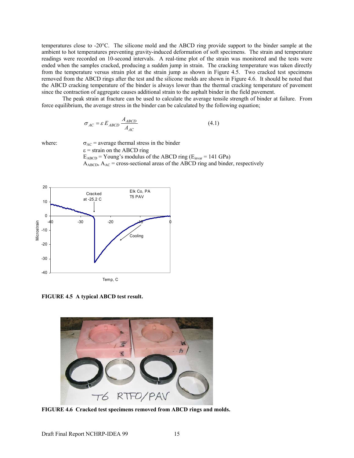temperatures close to -20°C. The silicone mold and the ABCD ring provide support to the binder sample at the ambient to hot temperatures preventing gravity-induced deformation of soft specimens. The strain and temperature readings were recorded on 10-second intervals. A real-time plot of the strain was monitored and the tests were ended when the samples cracked, producing a sudden jump in strain. The cracking temperature was taken directly from the temperature versus strain plot at the strain jump as shown in Figure 4.5. Two cracked test specimens removed from the ABCD rings after the test and the silicone molds are shown in Figure 4.6. It should be noted that the ABCD cracking temperature of the binder is always lower than the thermal cracking temperature of pavement since the contraction of aggregate causes additional strain to the asphalt binder in the field pavement.

The peak strain at fracture can be used to calculate the average tensile strength of binder at failure. From force equilibrium, the average stress in the binder can be calculated by the following equation;

$$
\sigma_{AC} = \varepsilon E_{ABCD} \frac{A_{ABCD}}{A_{AC}}
$$
(4.1)

where:  $\sigma_{AC}$  = average thermal stress in the binder  $\epsilon$  = strain on the ABCD ring

 $E_{ABCD}$  = Young's modulus of the ABCD ring ( $E_{invar}$  = 141 GPa)  $A_{ABCD}$ ,  $A_{AC}$  = cross-sectional areas of the ABCD ring and binder, respectively



**FIGURE 4.5 A typical ABCD test result.** 



**FIGURE 4.6 Cracked test specimens removed from ABCD rings and molds.**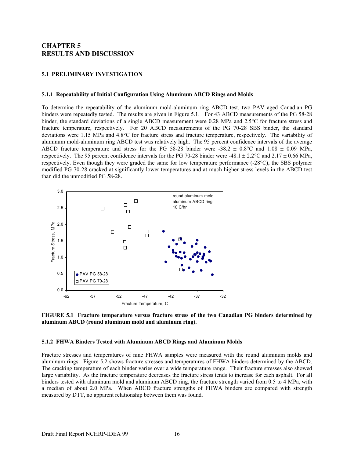# **CHAPTER 5 RESULTS AND DISCUSSION**

#### **5.1 PRELIMINARY INVESTIGATION**

#### **5.1.1 Repeatability of Initial Configuration Using Aluminum ABCD Rings and Molds**

To determine the repeatability of the aluminum mold-aluminum ring ABCD test, two PAV aged Canadian PG binders were repeatedly tested. The results are given in Figure 5.1. For 43 ABCD measurements of the PG 58-28 binder, the standard deviations of a single ABCD measurement were 0.28 MPa and 2.5°C for fracture stress and fracture temperature, respectively. For 20 ABCD measurements of the PG 70-28 SBS binder, the standard deviations were 1.15 MPa and 4.8°C for fracture stress and fracture temperature, respectively. The variability of aluminum mold-aluminum ring ABCD test was relatively high. The 95 percent confidence intervals of the average ABCD fracture temperature and stress for the PG 58-28 binder were -38.2  $\pm$  0.8°C and 1.08  $\pm$  0.09 MPa, respectively. The 95 percent confidence intervals for the PG 70-28 binder were -48.1  $\pm$  2.2°C and 2.17  $\pm$  0.66 MPa, respectively. Even though they were graded the same for low temperature performance (-28°C), the SBS polymer modified PG 70-28 cracked at significantly lower temperatures and at much higher stress levels in the ABCD test than did the unmodified PG 58-28.



**FIGURE 5.1 Fracture temperature versus fracture stress of the two Canadian PG binders determined by aluminum ABCD (round aluminum mold and aluminum ring).** 

#### **5.1.2 FHWA Binders Tested with Aluminum ABCD Rings and Aluminum Molds**

Fracture stresses and temperatures of nine FHWA samples were measured with the round aluminum molds and aluminum rings. Figure 5.2 shows fracture stresses and temperatures of FHWA binders determined by the ABCD. The cracking temperature of each binder varies over a wide temperature range. Their fracture stresses also showed large variability. As the fracture temperature decreases the fracture stress tends to increase for each asphalt. For all binders tested with aluminum mold and aluminum ABCD ring, the fracture strength varied from 0.5 to 4 MPa, with a median of about 2.0 MPa. When ABCD fracture strengths of FHWA binders are compared with strength measured by DTT, no apparent relationship between them was found.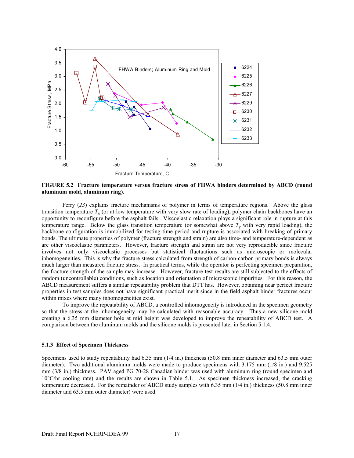

**FIGURE 5.2 Fracture temperature versus fracture stress of FHWA binders determined by ABCD (round aluminum mold, aluminum ring).** 

 Ferry (*23*) explains fracture mechanisms of polymer in terms of temperature regions. Above the glass transition temperature  $T_g$  (or at low temperature with very slow rate of loading), polymer chain backbones have an opportunity to reconfigure before the asphalt fails. Viscoelastic relaxation plays a significant role in rupture at this temperature range. Below the glass transition temperature (or somewhat above  $T_g$  with very rapid loading), the backbone configuration is immobilized for testing time period and rupture is associated with breaking of primary bonds. The ultimate properties of polymer (fracture strength and strain) are also time- and temperature-dependent as are other viscoelastic parameters. However, fracture strength and strain are not very reproducible since fracture involves not only viscoelastic processes but statistical fluctuations such as microscopic or molecular inhomogeneities. This is why the fracture stress calculated from strength of carbon-carbon primary bonds is always much larger than measured fracture stress. In practical terms, while the operator is perfecting specimen preparation, the fracture strength of the sample may increase. However, fracture test results are still subjected to the effects of random (uncontrollable) conditions, such as location and orientation of microscopic impurities. For this reason, the ABCD measurement suffers a similar repeatability problem that DTT has. However, obtaining near perfect fracture properties in test samples does not have significant practical merit since in the field asphalt binder fractures occur within mixes where many inhomogeneities exist.

 To improve the repeatability of ABCD, a controlled inhomogeneity is introduced in the specimen geometry so that the stress at the inhomogeneity may be calculated with reasonable accuracy. Thus a new silicone mold creating a 6.35 mm diameter hole at mid height was developed to improve the repeatability of ABCD test. A comparison between the aluminum molds and the silicone molds is presented later in Section 5.1.4.

#### **5.1.3 Effect of Specimen Thickness**

Specimens used to study repeatability had 6.35 mm (1/4 in.) thickness (50.8 mm inner diameter and 63.5 mm outer diameter). Two additional aluminum molds were made to produce specimens with 3.175 mm (1/8 in.) and 9.525 mm (3/8 in.) thickness. PAV aged PG 70-28 Canadian binder was used with aluminum ring (round specimen and 10°C/hr cooling rate) and the results are shown in Table 5.1. As specimen thickness increased, the cracking temperature decreased. For the remainder of ABCD study samples with 6.35 mm (1/4 in.) thickness (50.8 mm inner diameter and 63.5 mm outer diameter) were used.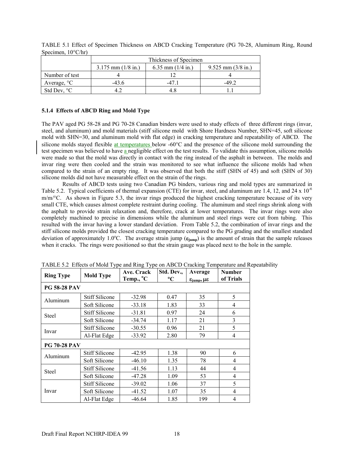|                       |                        | Thickness of Specimen |                        |
|-----------------------|------------------------|-----------------------|------------------------|
|                       | $3.175$ mm $(1/8$ in.) | 6.35 mm $(1/4$ in.)   | $9.525$ mm $(3/8$ in.) |
| Number of test        |                        |                       |                        |
| Average, $\mathrm{C}$ | $-43.6$                | -47 1                 | $-49.2$                |
| Std Dev, $\degree$ C  |                        |                       |                        |

TABLE 5.1 Effect of Specimen Thickness on ABCD Cracking Temperature (PG 70-28, Aluminum Ring, Round Specimen, 10°C/hr)

## **5.1.4 Effects of ABCD Ring and Mold Type**

The PAV aged PG 58-28 and PG 70-28 Canadian binders were used to study effects of three different rings (invar, steel, and aluminum) and mold materials (stiff silicone mold with Shore Hardness Number, SHN=45, soft silicone mold with SHN=30, and aluminum mold with flat edge) in cracking temperature and repeatability of ABCD. The silicone molds stayed flexible at temperatures below -60°C and the presence of the silicone mold surrounding the test specimen was believed to have a negligible effect on the test results. To validate this assumption, silicone molds were made so that the mold was directly in contact with the ring instead of the asphalt in between. The molds and invar ring were then cooled and the strain was monitored to see what influence the silicone molds had when compared to the strain of an empty ring. It was observed that both the stiff (SHN of 45) and soft (SHN of 30) silicone molds did not have measurable effect on the strain of the rings.

Results of ABCD tests using two Canadian PG binders, various ring and mold types are summarized in Table 5.2. Typical coefficients of thermal expansion (CTE) for invar, steel, and aluminum are 1.4, 12, and 24  $\times$  10<sup>-6</sup>  $m/m$ <sup>o</sup>C. As shown in Figure 5.3, the invar rings produced the highest cracking temperature because of its very small CTE, which causes almost complete restraint during cooling. The aluminum and steel rings shrink along with the asphalt to provide strain relaxation and, therefore, crack at lower temperatures. The invar rings were also completely machined to precise in dimensions while the aluminum and steel rings were cut from tubing. This resulted with the invar having a lower standard deviation. From Table 5.2, the combination of invar rings and the stiff silicone molds provided the closest cracking temperature compared to the PG grading and the smallest standard deviation of approximately 1.0°C. The average strain jump ( $\epsilon_{jump}$ ) is the amount of strain that the sample releases when it cracks. The rings were positioned so that the strain gauge was placed next to the hole in the sample.

| <b>Ring Type</b>    | <b>Mold Type</b>      | Ave. Crack<br>Temp., <sup>o</sup> C | Std. Dev.,<br>$\rm ^{\circ}C$ | Average<br>$\varepsilon$ <sub>iump</sub> , $\mu \varepsilon$ | <b>Number</b><br>of Trials |
|---------------------|-----------------------|-------------------------------------|-------------------------------|--------------------------------------------------------------|----------------------------|
| <b>PG 58-28 PAV</b> |                       |                                     |                               |                                                              |                            |
| Aluminum            | <b>Stiff Silicone</b> | $-32.98$                            | 0.47                          | 35                                                           | 5                          |
|                     | Soft Silicone         | $-33.18$                            | 1.83                          | 33                                                           | $\overline{4}$             |
| <b>Steel</b>        | <b>Stiff Silicone</b> | $-31.81$                            | 0.97                          | 24                                                           | 6                          |
|                     | Soft Silicone         | $-34.74$                            | 1.17                          | 21                                                           | 3                          |
| Invar               | <b>Stiff Silicone</b> | $-30.55$                            | 0.96                          | 21                                                           | 5                          |
|                     | Al-Flat Edge          | $-33.92$                            | 2.80                          | 79                                                           | 4                          |
| <b>PG 70-28 PAV</b> |                       |                                     |                               |                                                              |                            |
| Aluminum            | <b>Stiff Silicone</b> | $-42.95$                            | 1.38                          | 90                                                           | 6                          |
|                     | Soft Silicone         | $-46.10$                            | 1.35                          | 78                                                           | 4                          |
| <b>Steel</b>        | <b>Stiff Silicone</b> | $-41.56$                            | 1.13                          | 44                                                           | 4                          |
|                     | Soft Silicone         | $-47.28$                            | 1.09                          | 53                                                           | 4                          |
| Invar               | <b>Stiff Silicone</b> | $-39.02$                            | 1.06                          | 37                                                           | 5                          |
|                     | Soft Silicone         | $-41.52$                            | 1.07                          | 35                                                           | 4                          |
|                     | Al-Flat Edge          | $-46.64$                            | 1.85                          | 199                                                          | 4                          |

TABLE 5.2 Effects of Mold Type and Ring Type on ABCD Cracking Temperature and Repeatability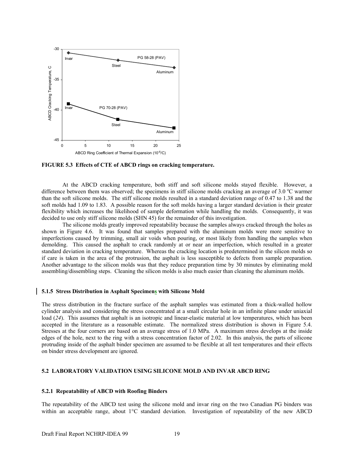

**FIGURE 5.3 Effects of CTE of ABCD rings on cracking temperature.** 

At the ABCD cracking temperature, both stiff and soft silicone molds stayed flexible. However, a difference between them was observed; the specimens in stiff silicone molds cracking an average of 3.0 °C warmer than the soft silicone molds. The stiff silicone molds resulted in a standard deviation range of 0.47 to 1.38 and the soft molds had 1.09 to 1.83. A possible reason for the soft molds having a larger standard deviation is their greater flexibility which increases the likelihood of sample deformation while handling the molds. Consequently, it was decided to use only stiff silicone molds (SHN 45) for the remainder of this investigation.

 The silicone molds greatly improved repeatability because the samples always cracked through the holes as shown in Figure 4.6. It was found that samples prepared with the aluminum molds were more sensitive to imperfections caused by trimming, small air voids when pouring, or most likely from handling the samples when demolding. This caused the asphalt to crack randomly at or near an imperfection, which resulted in a greater standard deviation in cracking temperature. Whereas the cracking location is predetermined in the silicon molds so if care is taken in the area of the protrusion, the asphalt is less susceptible to defects from sample preparation. Another advantage to the silicon molds was that they reduce preparation time by 30 minutes by eliminating mold assembling/dissembling steps. Cleaning the silicon molds is also much easier than cleaning the aluminum molds.

#### **5.1.5 Stress Distribution in Asphalt Specimens with Silicone Mold**

The stress distribution in the fracture surface of the asphalt samples was estimated from a thick-walled hollow cylinder analysis and considering the stress concentrated at a small circular hole in an infinite plane under uniaxial load (24). This assumes that asphalt is an isotropic and linear-elastic material at low temperatures, which has been accepted in the literature as a reasonable estimate. The normalized stress distribution is shown in Figure 5.4. Stresses at the four corners are based on an average stress of 1.0 MPa. A maximum stress develops at the inside edges of the hole, next to the ring with a stress concentration factor of 2.02. In this analysis, the parts of silicone protruding inside of the asphalt binder specimen are assumed to be flexible at all test temperatures and their effects on binder stress development are ignored.

#### **5.2 LABORATORY VALIDATION USING SILICONE MOLD AND INVAR ABCD RING**

#### **5.2.1 Repeatability of ABCD with Roofing Binders**

The repeatability of the ABCD test using the silicone mold and invar ring on the two Canadian PG binders was within an acceptable range, about 1°C standard deviation. Investigation of repeatability of the new ABCD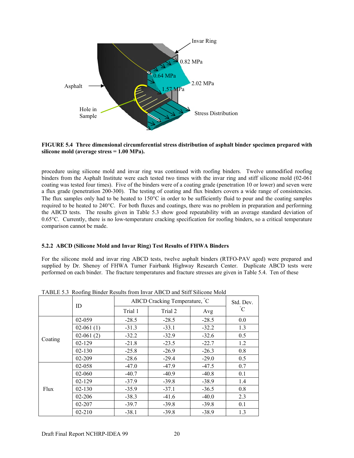

**FIGURE 5.4 Three dimensional circumferential stress distribution of asphalt binder specimen prepared with silicone mold (average stress = 1.00 MPa).** 

procedure using silicone mold and invar ring was continued with roofing binders. Twelve unmodified roofing binders from the Asphalt Institute were each tested two times with the invar ring and stiff silicone mold (02-061 coating was tested four times). Five of the binders were of a coating grade (penetration 10 or lower) and seven were a flux grade (penetration 200-300). The testing of coating and flux binders covers a wide range of consistencies. The flux samples only had to be heated to  $150^{\circ}$ C in order to be sufficiently fluid to pour and the coating samples required to be heated to 240°C. For both fluxes and coatings, there was no problem in preparation and performing the ABCD tests. The results given in Table 5.3 show good repeatability with an average standard deviation of 0.65°C. Currently, there is no low-temperature cracking specification for roofing binders, so a critical temperature comparison cannot be made.

## **5.2.2 ABCD (Silicone Mold and Invar Ring) Test Results of FHWA Binders**

For the silicone mold and invar ring ABCD tests, twelve asphalt binders (RTFO-PAV aged) were prepared and supplied by Dr. Shenoy of FHWA Turner Fairbank Highway Research Center. Duplicate ABCD tests were performed on each binder. The fracture temperatures and fracture stresses are given in Table 5.4. Ten of these

|         | ID          |         | ABCD Cracking Temperature, C |         |                 |  |  |  |
|---------|-------------|---------|------------------------------|---------|-----------------|--|--|--|
|         |             | Trial 1 | Trial 2                      | Avg     | $\rm ^{\circ}C$ |  |  |  |
|         | 02-059      | $-28.5$ | $-28.5$                      | $-28.5$ | 0.0             |  |  |  |
|         | $02-061(1)$ | $-31.3$ | $-33.1$                      | $-32.2$ | 1.3             |  |  |  |
|         | $02-061(2)$ | $-32.2$ | $-32.9$                      | $-32.6$ | 0.5             |  |  |  |
| Coating | $02 - 129$  | $-21.8$ | $-23.5$                      | $-22.7$ | 1.2             |  |  |  |
|         | 02-130      | $-25.8$ | $-26.9$                      | $-26.3$ | 0.8             |  |  |  |
|         | 02-209      | $-28.6$ | $-29.4$                      | $-29.0$ | 0.5             |  |  |  |
|         | 02-058      | $-47.0$ | $-47.9$                      | $-47.5$ | 0.7             |  |  |  |
|         | 02-060      | $-40.7$ | $-40.9$                      | $-40.8$ | 0.1             |  |  |  |
|         | $02 - 129$  | $-37.9$ | $-39.8$                      | $-38.9$ | 1.4             |  |  |  |
| Flux    | 02-130      | $-35.9$ | $-37.1$                      | $-36.5$ | 0.8             |  |  |  |
|         | 02-206      | $-38.3$ | $-41.6$                      | $-40.0$ | 2.3             |  |  |  |
|         | 02-207      | $-39.7$ | $-39.8$                      | $-39.8$ | 0.1             |  |  |  |
|         | $02 - 210$  | $-38.1$ | $-39.8$                      | $-38.9$ | 1.3             |  |  |  |

TABLE 5.3 Roofing Binder Results from Invar ABCD and Stiff Silicone Mold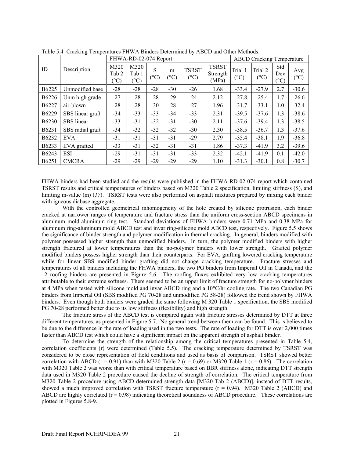|                   |                  |                               | FHWA-RD-02-074 Report         |                    |                    |                               |                                   |                 |                          | <b>ABCD</b> Cracking Temperature |                        |  |
|-------------------|------------------|-------------------------------|-------------------------------|--------------------|--------------------|-------------------------------|-----------------------------------|-----------------|--------------------------|----------------------------------|------------------------|--|
| ID                | Description      | M320<br>Tab 2<br>$(^\circ C)$ | M320<br>Tab 1<br>$(^\circ C)$ | S<br>$(^{\circ}C)$ | m<br>$(^{\circ}C)$ | <b>TSRST</b><br>$(^{\circ}C)$ | <b>TSRST</b><br>Strength<br>(MPa) | Trial 1<br>(°C) | Trial 2<br>$(^{\circ}C)$ | Std<br>Dev<br>$(^{\circ}C)$      | Avg<br>$({}^{\circ}C)$ |  |
| B6225             | Unmodified base  | $-28$                         | $-28$                         | $-28$              | $-30$              | $-26$                         | 1.68                              | $-33.4$         | $-27.9$                  | 2.7                              | $-30.6$                |  |
| B <sub>6226</sub> | Unm high grade   | $-27$                         | $-28$                         | $-28$              | $-29$              | $-24$                         | 2.12                              | $-27.8$         | $-25.4$                  | 1.7                              | $-26.6$                |  |
| B6227             | air-blown        | $-28$                         | $-28$                         | $-30$              | $-28$              | $-27$                         | 1.96                              | $-31.7$         | $-33.1$                  | 1.0                              | $-32.4$                |  |
| B6229             | SBS linear graft | $-34$                         | $-33$                         | $-33$              | $-34$              | $-33$                         | 2.31                              | $-39.5$         | $-37.6$                  | 1.3                              | $-38.6$                |  |
| B6230             | SBS linear       | $-33$                         | $-31$                         | $-32$              | $-31$              | $-30$                         | 2.11                              | $-37.6$         | $-39.4$                  | 1.3                              | $-38.5$                |  |
| B6231             | SBS radial graft | $-34$                         | $-32$                         | $-32$              | $-32$              | $-30$                         | 2.30                              | $-38.5$         | $-36.7$                  | 1.3                              | $-37.6$                |  |
| B6232             | <b>EVA</b>       | $-31$                         | $-31$                         | $-31$              | $-31$              | $-29$                         | 2.79                              | $-35.4$         | $-38.1$                  | 1.9                              | $-36.8$                |  |
| B <sub>6233</sub> | EVA grafted      | $-33$                         | $-31$                         | $-32$              | $-31$              | $-31$                         | 1.86                              | $-37.3$         | $-41.9$                  | 3.2                              | $-39.6$                |  |
| B6243             | <b>ESI</b>       | $-29$                         | $-31$                         | $-31$              | $-31$              | $-33$                         | 2.32                              | $-42.1$         | $-41.9$                  | 0.1                              | $-42.0$                |  |
| B <sub>6251</sub> | <b>CMCRA</b>     | $-29$                         | $-29$                         | $-29$              | $-29$              | $-29$                         | 1.10                              | $-31.3$         | $-30.1$                  | 0.8                              | $-30.7$                |  |

Table 5.4 Cracking Temperatures FHWA Binders Determined by ABCD and Other Methods.

FHWA binders had been studied and the results were published in the FHWA-RD-02-074 report which contained TSRST results and critical temperatures of binders based on M320 Table 2 specification, limiting stiffness (S), and limiting m-value (m) (*17*). TSRST tests were also performed on asphalt mixtures prepared by mixing each binder with igneous diabase aggregate.

 With the controlled geometrical inhomogeneity of the hole created by silicone protrusion, each binder cracked at narrower ranges of temperature and fracture stress than the uniform cross-section ABCD specimens in aluminum mold-aluminum ring test. Standard deviations of FHWA binders were 0.71 MPa and 0.38 MPa for aluminum ring-aluminum mold ABCD test and invar ring-silicone mold ABCD test, respectively. Figure 5.5 shows the significance of binder strength and polymer modification in thermal cracking. In general, binders modified with polymer possessed higher strength than unmodified binders. In turn, the polymer modified binders with higher strength fractured at lower temperatures than the no-polymer binders with lower strength. Grafted polymer modified binders possess higher strength than their counterparts. For EVA, grafting lowered cracking temperature while for linear SBS modified binder grafting did not change cracking temperature. Fracture stresses and temperatures of all binders including the FHWA binders, the two PG binders from Imperial Oil in Canada, and the 12 roofing binders are presented in Figure 5.6. The roofing fluxes exhibited very low cracking temperatures attributable to their extreme softness. There seemed to be an upper limit of fracture strength for no-polymer binders at 4 MPa when tested with silicone mold and invar ABCD ring and a 10°C/hr cooling rate. The two Canadian PG binders from Imperial Oil (SBS modified PG 70-28 and unmodified PG 58-28) followed the trend shown by FHWA binders. Even though both binders were graded the same following M 320 Table 1 specification, the SBS modified PG 70-28 performed better due to its low stiffness (flexibility) and high strength.

 The fracture stress of the ABCD test is compared again with fracture stresses determined by DTT at three different temperatures, as presented in Figure 5.7. No general trend between them can be found. This is believed to be due to the difference in the rate of loading used in the two tests. The rate of loading for DTT is over 2,000 times faster than ABCD test which could have a significant impact on the apparent strength of asphalt binder.

 To determine the strength of the relationship among the critical temperatures presented in Table 5.4, correlation coefficients (r) were determined (Table 5.5). The cracking temperature determined by TSRST was considered to be close representation of field conditions and used as basis of comparison. TSRST showed better correlation with ABCD ( $r = 0.91$ ) than with M320 Table 2 ( $r = 0.69$ ) or M320 Table 1 ( $r = 0.86$ ). The correlation with M320 Table 2 was worse than with critical temperature based on BBR stiffness alone, indicating DTT strength data used in M320 Table 2 procedure caused the decline of strength of correlation. The critical temperature from M320 Table 2 procedure using ABCD determined strength data [M320 Tab 2 (ABCD)], instead of DTT results, showed a much improved correlation with TSRST fracture temperature  $(r = 0.94)$ . M320 Table 2 (ABCD) and ABCD are highly correlated  $(r = 0.98)$  indicating theoretical soundness of ABCD procedure. These correlations are plotted in Figures 5.8-9.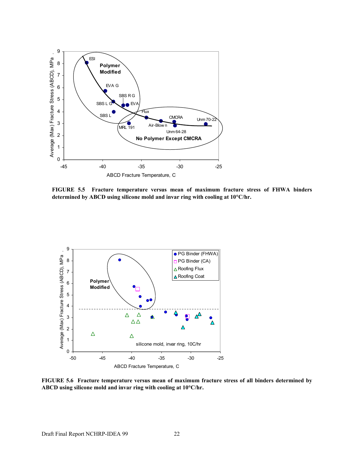

**FIGURE 5.5 Fracture temperature versus mean of maximum fracture stress of FHWA binders determined by ABCD using silicone mold and invar ring with cooling at 10**°**C/hr.** 



**FIGURE 5.6 Fracture temperature versus mean of maximum fracture stress of all binders determined by ABCD using silicone mold and invar ring with cooling at 10**°**C/hr.**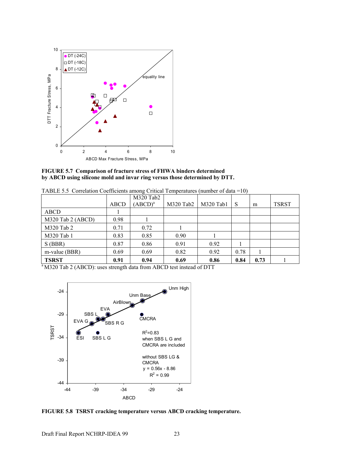

**FIGURE 5.7 Comparison of fracture stress of FHWA binders determined by ABCD using silicone mold and invar ring versus those determined by DTT.** 

|  |  |  | TABLE 5.5 Correlation Coefficients among Critical Temperatures (number of data = 10) |  |  |  |  |
|--|--|--|--------------------------------------------------------------------------------------|--|--|--|--|
|--|--|--|--------------------------------------------------------------------------------------|--|--|--|--|

|                   |      | M320 Tab2  |             |           |              |      |              |
|-------------------|------|------------|-------------|-----------|--------------|------|--------------|
|                   | ABCD | $(ABCD)^a$ | $M320$ Tab2 | M320 Tab1 | <sub>S</sub> | m    | <b>TSRST</b> |
| ABCD              |      |            |             |           |              |      |              |
| M320 Tab 2 (ABCD) | 0.98 |            |             |           |              |      |              |
| M320 Tab 2        | 0.71 | 0.72       |             |           |              |      |              |
| M320 Tab 1        | 0.83 | 0.85       | 0.90        |           |              |      |              |
| S(BBR)            | 0.87 | 0.86       | 0.91        | 0.92      |              |      |              |
| m-value (BBR)     | 0.69 | 0.69       | 0.82        | 0.92      | 0.78         |      |              |
| <b>TSRST</b>      | 0.91 | 0.94       | 0.69        | 0.86      | 0.84         | 0.73 |              |

<sup>a</sup>M320 Tab 2 (ABCD): uses strength data from ABCD test instead of DTT



**FIGURE 5.8 TSRST cracking temperature versus ABCD cracking temperature.**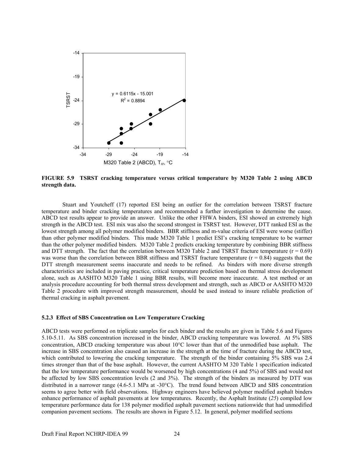

**FIGURE 5.9 TSRST cracking temperature versus critical temperature by M320 Table 2 using ABCD strength data.** 

 Stuart and Youtcheff (17) reported ESI being an outlier for the correlation between TSRST fracture temperature and binder cracking temperatures and recommended a further investigation to determine the cause. ABCD test results appear to provide an answer. Unlike the other FHWA binders, ESI showed an extremely high strength in the ABCD test. ESI mix was also the second strongest in TSRST test. However, DTT ranked ESI as the lowest strength among all polymer modified binders. BBR stiffness and m-value criteria of ESI were worse (stiffer) than other polymer modified binders. This made M320 Table 1 predict ESI's cracking temperature to be warmer than the other polymer modified binders. M320 Table 2 predicts cracking temperature by combining BBR stiffness and DTT strength. The fact that the correlation between M320 Table 2 and TSRST fracture temperature ( $r = 0.69$ ) was worse than the correlation between BBR stiffness and TSRST fracture temperature  $(r = 0.84)$  suggests that the DTT strength measurement seems inaccurate and needs to be refined. As binders with more diverse strength characteristics are included in paving practice, critical temperature prediction based on thermal stress development alone, such as AASHTO M320 Table 1 using BBR results, will become more inaccurate. A test method or an analysis procedure accounting for both thermal stress development and strength, such as ABCD or AASHTO M320 Table 2 procedure with improved strength measurement, should be used instead to insure reliable prediction of thermal cracking in asphalt pavement.

#### **5.2.3 Effect of SBS Concentration on Low Temperature Cracking**

ABCD tests were performed on triplicate samples for each binder and the results are given in Table 5.6 and Figures 5.10-5.11. As SBS concentration increased in the binder, ABCD cracking temperature was lowered. At 5% SBS concentration, ABCD cracking temperature was about 10°C lower than that of the unmodified base asphalt. The increase in SBS concentration also caused an increase in the strength at the time of fracture during the ABCD test, which contributed to lowering the cracking temperature. The strength of the binder containing 5% SBS was 2.4 times stronger than that of the base asphalt. However, the current AASHTO M 320 Table 1 specification indicated that the low temperature performance would be worsened by high concentrations (4 and 5%) of SBS and would not be affected by low SBS concentration levels (2 and 3%). The strength of the binders as measured by DTT was distributed in a narrower range (4.6-5.1 MPa at -30°C). The trend found between ABCD and SBS concentration seems to agree better with field observations. Highway engineers have believed polymer modified asphalt binders enhance performance of asphalt pavements at low temperatures. Recently, the Asphalt Institute (*25*) compiled low temperature performance data for 138 polymer modified asphalt pavement sections nationwide that had unmodified companion pavement sections. The results are shown in Figure 5.12. In general, polymer modified sections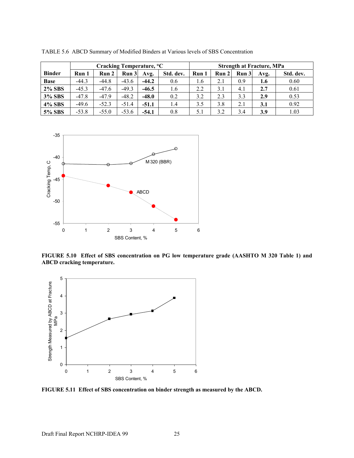|               | Cracking Temperature, <sup>o</sup> C |         |         |         |           | <b>Strength at Fracture, MPa</b> |       |       |      |           |
|---------------|--------------------------------------|---------|---------|---------|-----------|----------------------------------|-------|-------|------|-----------|
| <b>Binder</b> | Run 1                                | Run 2   | Run 3   | Avg.    | Std. dev. | Run 1                            | Run 2 | Run 3 | Avg. | Std. dev. |
| <b>Base</b>   | $-44.3$                              | $-44.8$ | $-43.6$ | $-44.2$ | 0.6       | 1.6                              | 2.1   | 0.9   | 1.6  | 0.60      |
| <b>2% SBS</b> | $-45.3$                              | $-47.6$ | $-49.3$ | $-46.5$ | 1.6       | 2.2                              | 3.1   | 4.1   | 2.7  | 0.61      |
| <b>3% SBS</b> | $-47.8$                              | $-47.9$ | $-48.2$ | $-48.0$ | 0.2       | 3.2                              | 2.3   | 3.3   | 2.9  | 0.53      |
| <b>4% SBS</b> | $-49.6$                              | $-52.3$ | $-51.4$ | $-51.1$ | 1.4       | 3.5                              | 3.8   | 2.1   | 3.1  | 0.92      |
| 5% SBS        | $-53.8$                              | $-55.0$ | $-53.6$ | $-54.1$ | 0.8       | 5.1                              | 3.2   | 3.4   | 3.9  | 1.03      |

TABLE 5.6 ABCD Summary of Modified Binders at Various levels of SBS Concentration



**FIGURE 5.10 Effect of SBS concentration on PG low temperature grade (AASHTO M 320 Table 1) and ABCD cracking temperature.** 



**FIGURE 5.11 Effect of SBS concentration on binder strength as measured by the ABCD.**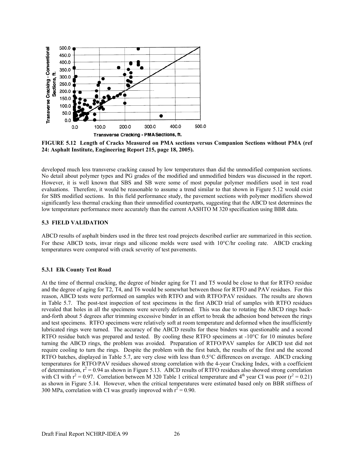

**FIGURE 5.12 Length of Cracks Measured on PMA sections versus Companion Sections without PMA (ref 24: Asphalt Institute, Engineering Report 215, page 18, 2005).** 

developed much less transverse cracking caused by low temperatures than did the unmodified companion sections. No detail about polymer types and PG grades of the modified and unmodified binders was discussed in the report. However, it is well known that SBS and SB were some of most popular polymer modifiers used in test road evaluations. Therefore, it would be reasonable to assume a trend similar to that shown in Figure 5.12 would exist for SBS modified sections. In this field performance study, the pavement sections with polymer modifiers showed significantly less thermal cracking than their unmodified counterparts, suggesting that the ABCD test determines the low temperature performance more accurately than the current AASHTO M 320 specification using BBR data.

#### **5.3 FIELD VALIDATION**

ABCD results of asphalt binders used in the three test road projects described earlier are summarized in this section. For these ABCD tests, invar rings and silicone molds were used with 10°C/hr cooling rate. ABCD cracking temperatures were compared with crack severity of test pavements.

#### **5.3.1 Elk County Test Road**

At the time of thermal cracking, the degree of binder aging for T1 and T5 would be close to that for RTFO residue and the degree of aging for T2, T4, and T6 would be somewhat between those for RTFO and PAV residues. For this reason, ABCD tests were performed on samples with RTFO and with RTFO/PAV residues. The results are shown in Table 5.7. The post-test inspection of test specimens in the first ABCD trial of samples with RTFO residues revealed that holes in all the specimens were severely deformed. This was due to rotating the ABCD rings backand-forth about 5 degrees after trimming excessive binder in an effort to break the adhesion bond between the rings and test specimens. RTFO specimens were relatively soft at room temperature and deformed when the insufficiently lubricated rings were turned. The accuracy of the ABCD results for these binders was questionable and a second RTFO residue batch was prepared and tested. By cooling these RTFO specimens at -10°C for 10 minutes before turning the ABCD rings, the problem was avoided. Preparation of RTFO/PAV samples for ABCD test did not require cooling to turn the rings. Despite the problem with the first batch, the results of the first and the second RTFO batches, displayed in Table 5.7, are very close with less than 0.5°C differences on average. ABCD cracking temperatures for RTFO/PAV residues showed strong correlation with the 4-year Cracking Index, with a coefficient of determination,  $r^2 = 0.94$  as shown in Figure 5.13. ABCD results of RTFO residues also showed strong correlation with CI with  $r^2 = 0.97$ . Correlation between M 320 Table 1 critical temperature and  $4<sup>th</sup>$  year CI was poor  $(r^2 = 0.21)$ as shown in Figure 5.14. However, when the critical temperatures were estimated based only on BBR stiffness of 300 MPa, correlation with CI was greatly improved with  $r^2 = 0.90$ .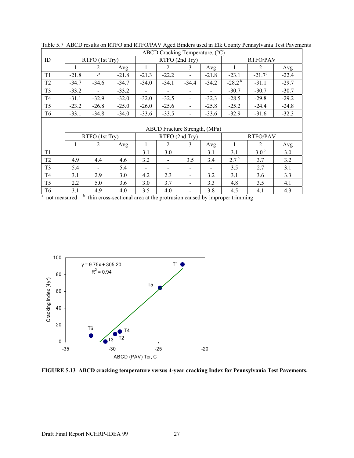|                | ABCD Cracking Temperature, (°C) |                |         |                          |                              |         |         |                 |                  |         |  |
|----------------|---------------------------------|----------------|---------|--------------------------|------------------------------|---------|---------|-----------------|------------------|---------|--|
| ID             | RTFO (1st Try)                  |                |         | RTFO (2nd Try)           |                              |         |         | <b>RTFO/PAV</b> |                  |         |  |
|                | 1                               | $\overline{2}$ | Avg     | 1                        | $\overline{2}$               | 3       | Avg     | 1               | $\overline{2}$   | Avg     |  |
| T1             | $-21.8$                         | $\mathbf{a}$   | $-21.8$ | $-21.3$                  | $-22.2$                      |         | $-21.8$ | $-23.1$         | $-21.7^{b}$      | $-22.4$ |  |
| T <sub>2</sub> | $-34.7$                         | $-34.6$        | $-34.7$ | $-34.0$                  | $-34.1$                      | $-34.4$ | $-34.2$ | $-28.2^{b}$     | $-31.1$          | $-29.7$ |  |
| T <sub>3</sub> | $-33.2$                         |                | $-33.2$ | $\overline{\phantom{a}}$ | $\overline{\phantom{a}}$     |         |         | $-30.7$         | $-30.7$          | $-30.7$ |  |
| T <sub>4</sub> | $-31.1$                         | $-32.9$        | $-32.0$ | $-32.0$                  | $-32.5$                      |         | $-32.3$ | $-28.5$         | $-29.8$          | $-29.2$ |  |
| T <sub>5</sub> | $-23.2$                         | $-26.8$        | $-25.0$ | $-26.0$                  | $-25.6$                      |         | $-25.8$ | $-25.2$         | $-24.4$          | $-24.8$ |  |
| T <sub>6</sub> | $-33.1$                         | $-34.8$        | $-34.0$ | $-33.6$                  | $-33.5$                      |         | $-33.6$ | $-32.9$         | $-31.6$          | $-32.3$ |  |
|                |                                 |                |         |                          |                              |         |         |                 |                  |         |  |
|                | ABCD Fracture Strength, (MPa)   |                |         |                          |                              |         |         |                 |                  |         |  |
|                |                                 |                |         |                          |                              |         |         |                 |                  |         |  |
|                |                                 | RTFO (1st Try) |         |                          | RTFO (2nd Try)               |         |         |                 | <b>RTFO/PAV</b>  |         |  |
|                |                                 | $\overline{2}$ | Avg     |                          | 2                            | 3       | Avg     |                 | $\overline{2}$   | Avg     |  |
| T1             | -                               |                |         | 3.1                      | 3.0                          |         | 3.1     | 3.1             | 3.0 <sup>b</sup> | 3.0     |  |
| T <sub>2</sub> | 4.9                             | 4.4            | 4.6     | 3.2                      | $\overline{\phantom{a}}$     | 3.5     | 3.4     | $2.7^{b}$       | 3.7              | 3.2     |  |
| T <sub>3</sub> | 5.4                             |                | 5.4     | $\blacksquare$           | $\qquad \qquad \blacksquare$ |         |         | 3.5             | 2.7              | 3.1     |  |
| T <sub>4</sub> | 3.1                             | 2.9            | 3.0     | 4.2                      | 2.3                          |         | 3.2     | 3.1             | 3.6              | 3.3     |  |
| T <sub>5</sub> | 2.2                             | 5.0            | 3.6     | 3.0                      | 3.7                          |         | 3.3     | 4.8             | 3.5              | 4.1     |  |
| T <sub>6</sub> | 3.1                             | 4.9            | 4.0     | 3.5                      | 4.0                          |         | 3.8     | 4.5             | 4.1              | 4.3     |  |

Table 5.7 ABCD results on RTFO and RTFO/PAV Aged Binders used in Elk County Pennsylvania Test Pavements



**FIGURE 5.13 ABCD cracking temperature versus 4-year cracking Index for Pennsylvania Test Pavements.**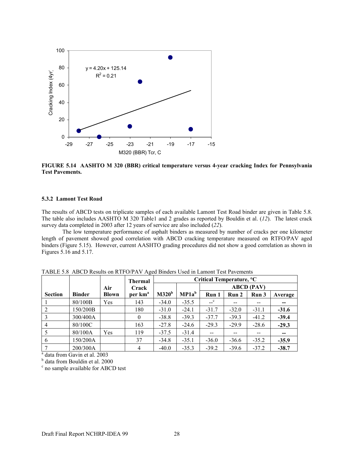

**FIGURE 5.14 AASHTO M 320 (BBR) critical temperature versus 4-year cracking Index for Pennsylvania Test Pavements.** 

#### **5.3.2 Lamont Test Road**

The results of ABCD tests on triplicate samples of each available Lamont Test Road binder are given in Table 5.8. The table also includes AASHTO M 320 Table1 and 2 grades as reported by Bouldin et al. (*12*). The latest crack survey data completed in 2003 after 12 years of service are also included (*22*).

 The low temperature performance of asphalt binders as measured by number of cracks per one kilometer length of pavement showed good correlation with ABCD cracking temperature measured on RTFO/PAV aged binders (Figure 5.15). However, current AASHTO grading procedures did not show a good correlation as shown in Figures 5.16 and 5.17.

|                |               |              | --0<br>Thermal      | Critical Temperature, °C |          |                   |         |         |         |
|----------------|---------------|--------------|---------------------|--------------------------|----------|-------------------|---------|---------|---------|
|                |               | Air          | Crack               |                          |          | <b>ABCD</b> (PAV) |         |         |         |
| <b>Section</b> | <b>Binder</b> | <b>Blown</b> | per km <sup>a</sup> | M320 <sup>b</sup>        | $MP1a^b$ | Run 1             | Run 2   | Run 3   | Average |
|                | 80/100B       | Yes          | 143                 | $-34.0$                  | $-35.5$  | $\mathbf{c}$      | $- -$   | $- -$   | --      |
|                | 150/200B      |              | 180                 | $-31.0$                  | $-24.1$  | $-31.7$           | $-32.0$ | $-31.1$ | $-31.6$ |
|                | 300/400A      |              | $\theta$            | $-38.8$                  | $-39.3$  | $-37.7$           | $-39.3$ | $-41.2$ | $-39.4$ |
| $\overline{4}$ | 80/100C       |              | 163                 | $-27.8$                  | $-24.6$  | $-29.3$           | $-29.9$ | $-28.6$ | $-29.3$ |
|                | 80/100A       | Yes          | 119                 | $-37.5$                  | $-31.4$  | $-$               | --      |         |         |
| 6              | 150/200A      |              | 37                  | $-34.8$                  | $-35.1$  | $-36.0$           | $-36.6$ | $-35.2$ | $-35.9$ |
|                | 200/300A      |              | 4                   | $-40.0$                  | $-35.3$  | $-39.2$           | $-39.6$ | $-37.2$ | $-38.7$ |

TABLE 5.8 ABCD Results on RTFO/PAV Aged Binders Used in Lamont Test Pavements

<sup>a</sup> data from Gavin et al. 2003

b data from Bouldin et al. 2000

c no sample available for ABCD test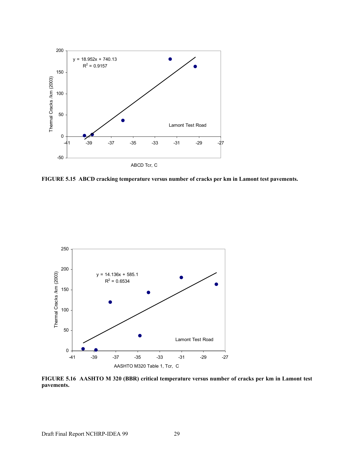

**FIGURE 5.15 ABCD cracking temperature versus number of cracks per km in Lamont test pavements.** 



**FIGURE 5.16 AASHTO M 320 (BBR) critical temperature versus number of cracks per km in Lamont test pavements.**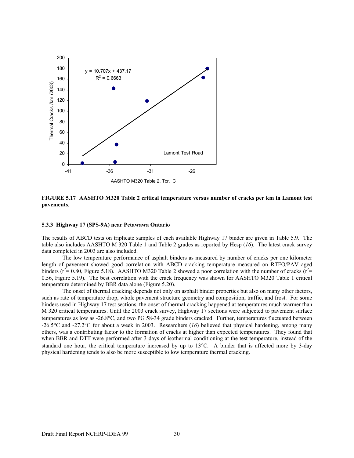

**FIGURE 5.17 AASHTO M320 Table 2 critical temperature versus number of cracks per km in Lamont test pavements**.

#### **5.3.3 Highway 17 (SPS-9A) near Petawawa Ontario**

The results of ABCD tests on triplicate samples of each available Highway 17 binder are given in Table 5.9. The table also includes AASHTO M 320 Table 1 and Table 2 grades as reported by Hesp (*16*). The latest crack survey data completed in 2003 are also included.

 The low temperature performance of asphalt binders as measured by number of cracks per one kilometer length of pavement showed good correlation with ABCD cracking temperature measured on RTFO/PAV aged binders ( $r^2$  = 0.80, Figure 5.18). AASHTO M320 Table 2 showed a poor correlation with the number of cracks ( $r^2$  = 0.56, Figure 5.19). The best correlation with the crack frequency was shown for AASHTO M320 Table 1 critical temperature determined by BBR data alone (Figure 5.20).

 The onset of thermal cracking depends not only on asphalt binder properties but also on many other factors, such as rate of temperature drop, whole pavement structure geometry and composition, traffic, and frost. For some binders used in Highway 17 test sections, the onset of thermal cracking happened at temperatures much warmer than M 320 critical temperatures. Until the 2003 crack survey, Highway 17 sections were subjected to pavement surface temperatures as low as -26.8°C, and two PG 58-34 grade binders cracked. Further, temperatures fluctuated between -26.5°C and -27.2°C for about a week in 2003. Researchers (*16*) believed that physical hardening, among many others, was a contributing factor to the formation of cracks at higher than expected temperatures. They found that when BBR and DTT were performed after 3 days of isothermal conditioning at the test temperature, instead of the standard one hour, the critical temperature increased by up to 13°C. A binder that is affected more by 3-day physical hardening tends to also be more susceptible to low temperature thermal cracking.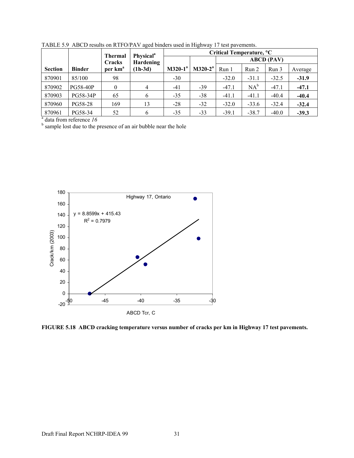|                |                 | <b>Thermal</b>      | <b>Physical</b> <sup>a</sup><br>Hardening | Critical Temperature, °C |                   |                  |         |         |         |  |
|----------------|-----------------|---------------------|-------------------------------------------|--------------------------|-------------------|------------------|---------|---------|---------|--|
|                |                 | Cracks              |                                           |                          | <b>ABCD</b> (PAV) |                  |         |         |         |  |
| <b>Section</b> | <b>Binder</b>   | per km <sup>a</sup> | $(1h-3d)$                                 | $M320-1^a$               | $M320-2^a$        | Run <sub>1</sub> | Run 2   | Run 3   | Average |  |
| 870901         | 85/100          | 98                  |                                           | $-30$                    |                   | $-32.0$          | $-31.1$ | $-32.5$ | $-31.9$ |  |
| 870902         | <b>PG58-40P</b> | $\theta$            | 4                                         | $-41$                    | $-39$             | $-47.1$          | $NA^b$  | $-47.1$ | $-47.1$ |  |
| 870903         | PG58-34P        | 65                  | 6                                         | $-35$                    | $-38$             | $-41.1$          | $-41.1$ | $-40.4$ | $-40.4$ |  |
| 870960         | PG58-28         | 169                 | 13                                        | $-28$                    | $-32$             | $-32.0$          | $-33.6$ | $-32.4$ | $-32.4$ |  |
| 870961         | PG58-34         | 52                  | 6                                         | $-35$                    | $-33$             | $-39.1$          | $-38.7$ | $-40.0$ | $-39.3$ |  |

TABLE 5.9 ABCD results on RTFO/PAV aged binders used in Highway 17 test pavements.

 $b<sup>b</sup>$  sample lost due to the presence of an air bubble near the hole



**FIGURE 5.18 ABCD cracking temperature versus number of cracks per km in Highway 17 test pavements.**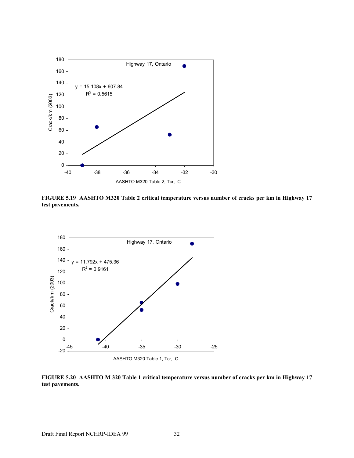

**FIGURE 5.19 AASHTO M320 Table 2 critical temperature versus number of cracks per km in Highway 17 test pavements.** 



**FIGURE 5.20 AASHTO M 320 Table 1 critical temperature versus number of cracks per km in Highway 17 test pavements.**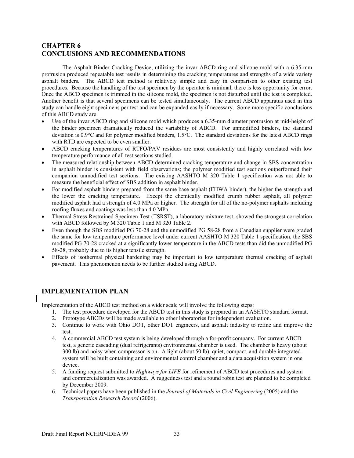# **CHAPTER 6 CONCLUSIONS AND RECOMMENDATIONS**

 The Asphalt Binder Cracking Device, utilizing the invar ABCD ring and silicone mold with a 6.35-mm protrusion produced repeatable test results in determining the cracking temperatures and strengths of a wide variety asphalt binders. The ABCD test method is relatively simple and easy in comparison to other existing test procedures. Because the handling of the test specimen by the operator is minimal, there is less opportunity for error. Once the ABCD specimen is trimmed in the silicone mold, the specimen is not disturbed until the test is completed. Another benefit is that several specimens can be tested simultaneously. The current ABCD apparatus used in this study can handle eight specimens per test and can be expanded easily if necessary. Some more specific conclusions of this ABCD study are:

- Use of the invar ABCD ring and silicone mold which produces a 6.35-mm diameter protrusion at mid-height of the binder specimen dramatically reduced the variability of ABCD. For unmodified binders, the standard deviation is 0.9°C and for polymer modified binders, 1.5°C. The standard deviations for the latest ABCD rings with RTD are expected to be even smaller.
- ABCD cracking temperatures of RTFO/PAV residues are most consistently and highly correlated with low temperature performance of all test sections studied.
- The measured relationship between ABCD-determined cracking temperature and change in SBS concentration in asphalt binder is consistent with field observations; the polymer modified test sections outperformed their companion unmodified test sections. The existing AASHTO M 320 Table 1 specification was not able to measure the beneficial effect of SBS addition in asphalt binder.
- For modified asphalt binders prepared from the same base asphalt (FHWA binder), the higher the strength and the lower the cracking temperature. Except the chemically modified crumb rubber asphalt, all polymer modified asphalt had a strength of 4.0 MPa or higher. The strength for all of the no-polymer asphalts including roofing fluxes and coatings was less than 4.0 MPa.
- Thermal Stress Restrained Specimen Test (TSRST), a laboratory mixture test, showed the strongest correlation with ABCD followed by M 320 Table 1 and M 320 Table 2.
- Even though the SBS modified PG 70-28 and the unmodified PG 58-28 from a Canadian supplier were graded the same for low temperature performance level under current AASHTO M 320 Table 1 specification, the SBS modified PG 70-28 cracked at a significantly lower temperature in the ABCD tests than did the unmodified PG 58-28, probably due to its higher tensile strength.
- Effects of isothermal physical hardening may be important to low temperature thermal cracking of asphalt pavement. This phenomenon needs to be further studied using ABCD.

# **IMPLEMENTATION PLAN**

Implementation of the ABCD test method on a wider scale will involve the following steps:

- 1. The test procedure developed for the ABCD test in this study is prepared in an AASHTO standard format.
- 2. Prototype ABCDs will be made available to other laboratories for independent evaluation.
- 3. Continue to work with Ohio DOT, other DOT engineers, and asphalt industry to refine and improve the test.
- 4. A commercial ABCD test system is being developed through a for-profit company. For current ABCD test, a generic cascading (dual refrigerants) environmental chamber is used. The chamber is heavy (about 300 lb) and noisy when compressor is on. A light (about 50 lb), quiet, compact, and durable integrated system will be built containing and environmental control chamber and a data acquisition system in one device.
- 5. A funding request submitted to *Highways for LIFE* for refinement of ABCD test procedures and system and commercialization was awarded. A ruggedness test and a round robin test are planned to be completed by December 2009.
- 6. Technical papers have been published in the *Journal of Materials in Civil Engineering* (2005) and the *Transportation Research Record* (2006).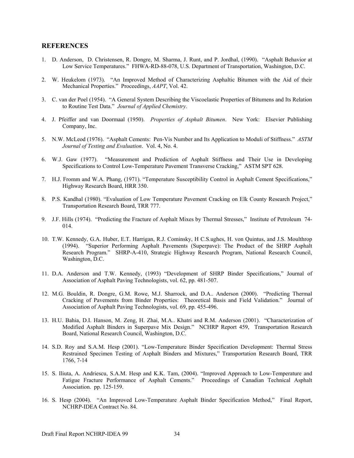## **REFERENCES**

- 1. D. Anderson, D. Christensen, R. Dongre, M. Sharma, J. Runt, and P. Jordhal, (1990). "Asphalt Behavior at Low Service Temperatures." FHWA-RD-88-078, U.S. Department of Transportation, Washington, D.C.
- 2. W. Heukelom (1973). "An Improved Method of Characterizing Asphaltic Bitumen with the Aid of their Mechanical Properties." Proceedings, *AAPT*, Vol. 42.
- 3. C. van der Poel (1954). "A General System Describing the Viscoelastic Properties of Bitumens and Its Relation to Routine Test Data." *Journal of Applied Chemistry*.
- 4. J. Pfeiffer and van Doormaal (1950). *Properties of Asphalt Bitumen*. New York: Elsevier Publishing Company, Inc.
- 5. N.W. McLeod (1976). "Asphalt Cements: Pen-Vis Number and Its Application to Moduli of Stiffness." *ASTM Journal of Testing and Evaluation*. Vol. 4, No. 4.
- 6. W.J. Gaw (1977). "Measurement and Prediction of Asphalt Stiffness and Their Use in Developing Specifications to Control Low-Temperature Pavement Transverse Cracking," ASTM SPT 628.
- 7. H.J. Fromm and W.A. Phang, (1971). "Temperature Susceptibility Control in Asphalt Cement Specifications," Highway Research Board, HRR 350.
- 8. P.S. Kandhal (1980). "Evaluation of Low Temperature Pavement Cracking on Elk County Research Project," Transportation Research Board, TRR 777.
- 9. J.F. Hills (1974). "Predicting the Fracture of Asphalt Mixes by Thermal Stresses," Institute of Petroleum 74- 014.
- 10. T.W. Kennedy, G.A. Huber, E.T. Harrigan, R.J. Cominsky, H C.S.ughes, H. von Quintus, and J.S. Moulthrop (1994). "Superior Performing Asphalt Pavements (Superpave): The Product of the SHRP Asphalt Research Program." SHRP-A-410, Strategic Highway Research Program, National Research Council, Washington, D.C.
- 11. D.A. Anderson and T.W. Kennedy, (1993) "Development of SHRP Binder Specifications," Journal of Association of Asphalt Paving Technologists, vol. 62, pp. 481-507.
- 12. M.G. Bouldin, R. Dongre, G.M. Rowe, M.J. Sharrock, and D.A.. Anderson (2000). "Predicting Thermal Cracking of Pavements from Binder Properties: Theoretical Basis and Field Validation." Journal of Association of Asphalt Paving Technologists, vol. 69, pp. 455-496.
- 13. H.U. Bahia, D.I. Hanson, M. Zeng, H. Zhai, M.A.. Khatri and R.M. Anderson (2001). "Characterization of Modified Asphalt Binders in Superpave Mix Design." NCHRP Report 459, Transportation Research Board, National Research Council, Washington, D.C.
- 14. S.D. Roy and S.A.M. Hesp (2001). "Low-Temperature Binder Specification Development: Thermal Stress Restrained Specimen Testing of Asphalt Binders and Mixtures," Transportation Research Board, TRR 1766, 7-14
- 15. S. Iliuta, A. Andriescu, S.A.M. Hesp and K.K. Tam, (2004). "Improved Approach to Low-Temperature and Fatigue Fracture Performance of Asphalt Cements." Proceedings of Canadian Technical Asphalt Association. pp. 125-159.
- 16. S. Hesp (2004). "An Improved Low-Temperature Asphalt Binder Specification Method," Final Report, NCHRP-IDEA Contract No. 84.